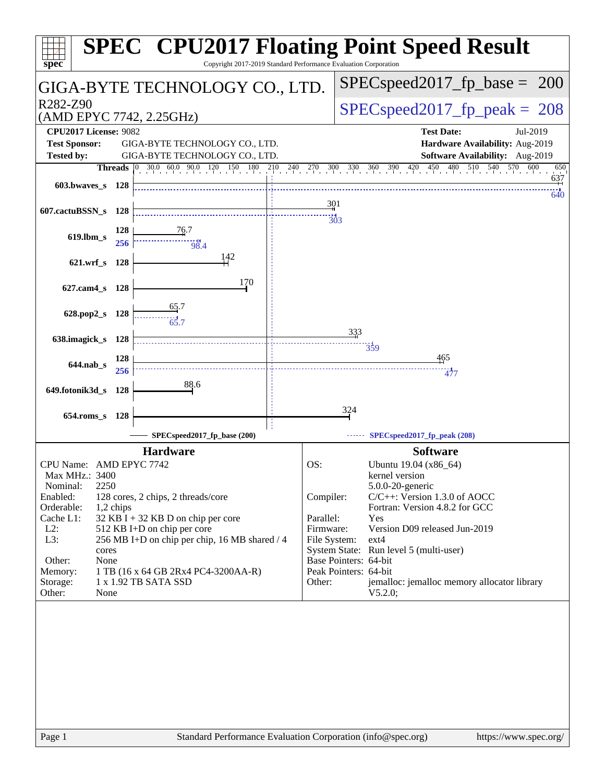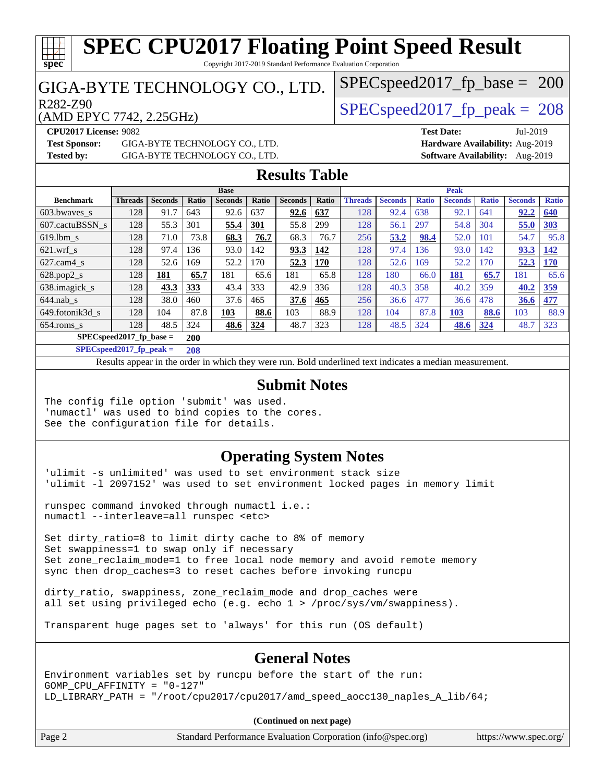#### **[spec](http://www.spec.org/) [SPEC CPU2017 Floating Point Speed Result](http://www.spec.org/auto/cpu2017/Docs/result-fields.html#SPECCPU2017FloatingPointSpeedResult)** Copyright 2017-2019 Standard Performance Evaluation Corporation GIGA-BYTE TECHNOLOGY CO., LTD. (AMD EPYC 7742, 2.25GHz) R282-Z90  $SPEC speed2017$  fp  $peak = 208$ SPECspeed2017 fp base =  $200$ **[CPU2017 License:](http://www.spec.org/auto/cpu2017/Docs/result-fields.html#CPU2017License)** 9082 **[Test Date:](http://www.spec.org/auto/cpu2017/Docs/result-fields.html#TestDate)** Jul-2019 **[Test Sponsor:](http://www.spec.org/auto/cpu2017/Docs/result-fields.html#TestSponsor)** GIGA-BYTE TECHNOLOGY CO., LTD. **[Hardware Availability:](http://www.spec.org/auto/cpu2017/Docs/result-fields.html#HardwareAvailability)** Aug-2019 **[Tested by:](http://www.spec.org/auto/cpu2017/Docs/result-fields.html#Testedby)** GIGA-BYTE TECHNOLOGY CO., LTD. **[Software Availability:](http://www.spec.org/auto/cpu2017/Docs/result-fields.html#SoftwareAvailability)** Aug-2019 **[Results Table](http://www.spec.org/auto/cpu2017/Docs/result-fields.html#ResultsTable) [Benchmark](http://www.spec.org/auto/cpu2017/Docs/result-fields.html#Benchmark) [Threads](http://www.spec.org/auto/cpu2017/Docs/result-fields.html#Threads) [Seconds](http://www.spec.org/auto/cpu2017/Docs/result-fields.html#Seconds) [Ratio](http://www.spec.org/auto/cpu2017/Docs/result-fields.html#Ratio) [Seconds](http://www.spec.org/auto/cpu2017/Docs/result-fields.html#Seconds) [Ratio](http://www.spec.org/auto/cpu2017/Docs/result-fields.html#Ratio) [Seconds](http://www.spec.org/auto/cpu2017/Docs/result-fields.html#Seconds) [Ratio](http://www.spec.org/auto/cpu2017/Docs/result-fields.html#Ratio) Base [Threads](http://www.spec.org/auto/cpu2017/Docs/result-fields.html#Threads) [Seconds](http://www.spec.org/auto/cpu2017/Docs/result-fields.html#Seconds) [Ratio](http://www.spec.org/auto/cpu2017/Docs/result-fields.html#Ratio) [Seconds](http://www.spec.org/auto/cpu2017/Docs/result-fields.html#Seconds) [Ratio](http://www.spec.org/auto/cpu2017/Docs/result-fields.html#Ratio) [Seconds](http://www.spec.org/auto/cpu2017/Docs/result-fields.html#Seconds) [Ratio](http://www.spec.org/auto/cpu2017/Docs/result-fields.html#Ratio) Peak** [603.bwaves\\_s](http://www.spec.org/auto/cpu2017/Docs/benchmarks/603.bwaves_s.html) 128 91.7 643 92.6 637 **[92.6](http://www.spec.org/auto/cpu2017/Docs/result-fields.html#Median) [637](http://www.spec.org/auto/cpu2017/Docs/result-fields.html#Median)** 128 92.4 638 92.1 641 **[92.2](http://www.spec.org/auto/cpu2017/Docs/result-fields.html#Median) [640](http://www.spec.org/auto/cpu2017/Docs/result-fields.html#Median)** [607.cactuBSSN\\_s](http://www.spec.org/auto/cpu2017/Docs/benchmarks/607.cactuBSSN_s.html) 128 55.3 301 **[55.4](http://www.spec.org/auto/cpu2017/Docs/result-fields.html#Median) [301](http://www.spec.org/auto/cpu2017/Docs/result-fields.html#Median)** 55.8 299 128 56.1 297 54.8 304 **[55.0](http://www.spec.org/auto/cpu2017/Docs/result-fields.html#Median) [303](http://www.spec.org/auto/cpu2017/Docs/result-fields.html#Median)** [619.lbm\\_s](http://www.spec.org/auto/cpu2017/Docs/benchmarks/619.lbm_s.html) 128 71.0 73.8 **[68.3](http://www.spec.org/auto/cpu2017/Docs/result-fields.html#Median) [76.7](http://www.spec.org/auto/cpu2017/Docs/result-fields.html#Median)** 68.3 76.7 256 **[53.2](http://www.spec.org/auto/cpu2017/Docs/result-fields.html#Median) [98.4](http://www.spec.org/auto/cpu2017/Docs/result-fields.html#Median)** 52.0 101 54.7 95.8 [621.wrf\\_s](http://www.spec.org/auto/cpu2017/Docs/benchmarks/621.wrf_s.html) 128 97.4 136 93.0 142 **[93.3](http://www.spec.org/auto/cpu2017/Docs/result-fields.html#Median) [142](http://www.spec.org/auto/cpu2017/Docs/result-fields.html#Median)** 128 97.4 136 93.0 142 **[93.3](http://www.spec.org/auto/cpu2017/Docs/result-fields.html#Median) [142](http://www.spec.org/auto/cpu2017/Docs/result-fields.html#Median)**

[627.cam4\\_s](http://www.spec.org/auto/cpu2017/Docs/benchmarks/627.cam4_s.html) 128 52.6 169 52.2 170 **[52.3](http://www.spec.org/auto/cpu2017/Docs/result-fields.html#Median) [170](http://www.spec.org/auto/cpu2017/Docs/result-fields.html#Median)** 128 52.6 169 52.2 170 **[52.3](http://www.spec.org/auto/cpu2017/Docs/result-fields.html#Median) [170](http://www.spec.org/auto/cpu2017/Docs/result-fields.html#Median)** [628.pop2\\_s](http://www.spec.org/auto/cpu2017/Docs/benchmarks/628.pop2_s.html) 128 **[181](http://www.spec.org/auto/cpu2017/Docs/result-fields.html#Median) [65.7](http://www.spec.org/auto/cpu2017/Docs/result-fields.html#Median)** 181 65.6 181 65.8 128 180 66.0 **[181](http://www.spec.org/auto/cpu2017/Docs/result-fields.html#Median) [65.7](http://www.spec.org/auto/cpu2017/Docs/result-fields.html#Median)** 181 65.6 [638.imagick\\_s](http://www.spec.org/auto/cpu2017/Docs/benchmarks/638.imagick_s.html) 128 **[43.3](http://www.spec.org/auto/cpu2017/Docs/result-fields.html#Median) [333](http://www.spec.org/auto/cpu2017/Docs/result-fields.html#Median)** 43.4 333 42.9 336 128 40.3 358 40.2 359 **[40.2](http://www.spec.org/auto/cpu2017/Docs/result-fields.html#Median) [359](http://www.spec.org/auto/cpu2017/Docs/result-fields.html#Median)** [644.nab\\_s](http://www.spec.org/auto/cpu2017/Docs/benchmarks/644.nab_s.html) 128 38.0 460 37.6 465 **[37.6](http://www.spec.org/auto/cpu2017/Docs/result-fields.html#Median) [465](http://www.spec.org/auto/cpu2017/Docs/result-fields.html#Median)** 256 36.6 477 36.6 478 **[36.6](http://www.spec.org/auto/cpu2017/Docs/result-fields.html#Median) [477](http://www.spec.org/auto/cpu2017/Docs/result-fields.html#Median)** [649.fotonik3d\\_s](http://www.spec.org/auto/cpu2017/Docs/benchmarks/649.fotonik3d_s.html) 128 104 87.8 **[103](http://www.spec.org/auto/cpu2017/Docs/result-fields.html#Median) [88.6](http://www.spec.org/auto/cpu2017/Docs/result-fields.html#Median)** 103 88.9 128 104 87.8 **[103](http://www.spec.org/auto/cpu2017/Docs/result-fields.html#Median) [88.6](http://www.spec.org/auto/cpu2017/Docs/result-fields.html#Median)** 103 88.9 [654.roms\\_s](http://www.spec.org/auto/cpu2017/Docs/benchmarks/654.roms_s.html) 128 48.5 324 **[48.6](http://www.spec.org/auto/cpu2017/Docs/result-fields.html#Median) [324](http://www.spec.org/auto/cpu2017/Docs/result-fields.html#Median)** 48.7 323 128 48.5 324 **[48.6](http://www.spec.org/auto/cpu2017/Docs/result-fields.html#Median) [324](http://www.spec.org/auto/cpu2017/Docs/result-fields.html#Median)** 48.7 323

Results appear in the [order in which they were run.](http://www.spec.org/auto/cpu2017/Docs/result-fields.html#RunOrder) Bold underlined text [indicates a median measurement](http://www.spec.org/auto/cpu2017/Docs/result-fields.html#Median).

**[Submit Notes](http://www.spec.org/auto/cpu2017/Docs/result-fields.html#SubmitNotes)**

**[Operating System Notes](http://www.spec.org/auto/cpu2017/Docs/result-fields.html#OperatingSystemNotes)**

'ulimit -l 2097152' was used to set environment locked pages in memory limit

Set zone\_reclaim\_mode=1 to free local node memory and avoid remote memory

all set using privileged echo (e.g. echo 1 > /proc/sys/vm/swappiness).

**[General Notes](http://www.spec.org/auto/cpu2017/Docs/result-fields.html#GeneralNotes)**

Environment variables set by runcpu before the start of the run: GOMP\_CPU\_AFFINITY = "0-127" LD\_LIBRARY\_PATH = "/root/cpu2017/cpu2017/amd\_speed\_aocc130\_naples\_A\_lib/64;

**(Continued on next page)**

**[SPECspeed2017\\_fp\\_base =](http://www.spec.org/auto/cpu2017/Docs/result-fields.html#SPECspeed2017fpbase) 200 [SPECspeed2017\\_fp\\_peak =](http://www.spec.org/auto/cpu2017/Docs/result-fields.html#SPECspeed2017fppeak) 208**

The config file option 'submit' was used.

See the configuration file for details.

numactl --interleave=all runspec <etc>

'numactl' was used to bind copies to the cores.

runspec command invoked through numactl i.e.:

Set swappiness=1 to swap only if necessary

'ulimit -s unlimited' was used to set environment stack size

sync then drop\_caches=3 to reset caches before invoking runcpu

dirty\_ratio, swappiness, zone\_reclaim\_mode and drop\_caches were

Transparent huge pages set to 'always' for this run (OS default)

Set dirty\_ratio=8 to limit dirty cache to 8% of memory

Page 2 Standard Performance Evaluation Corporation [\(info@spec.org\)](mailto:info@spec.org) <https://www.spec.org/>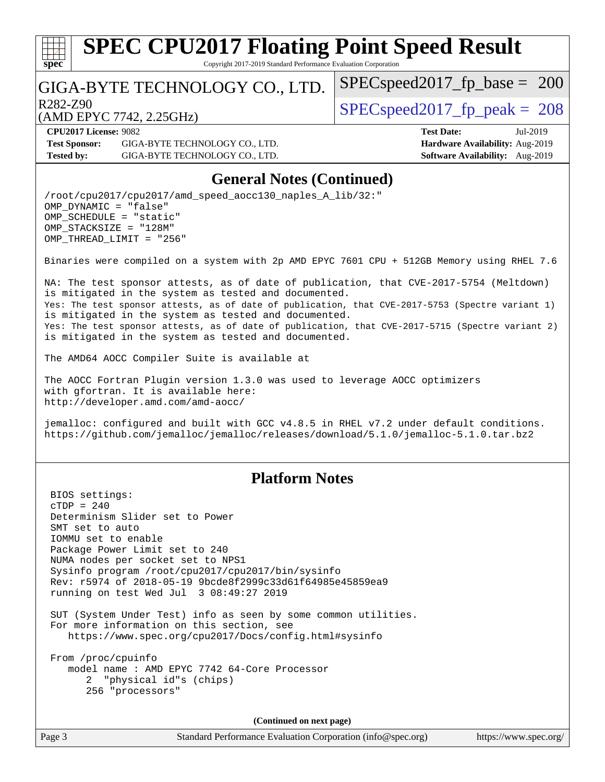

Copyright 2017-2019 Standard Performance Evaluation Corporation

### GIGA-BYTE TECHNOLOGY CO., LTD.

R282-Z90  $SPEC speed2017$  fp  $peak = 208$ 

 $SPEC speed2017_fp\_base = 200$ 

(AMD EPYC 7742, 2.25GHz)

**[CPU2017 License:](http://www.spec.org/auto/cpu2017/Docs/result-fields.html#CPU2017License)** 9082 **[Test Date:](http://www.spec.org/auto/cpu2017/Docs/result-fields.html#TestDate)** Jul-2019 **[Test Sponsor:](http://www.spec.org/auto/cpu2017/Docs/result-fields.html#TestSponsor)** GIGA-BYTE TECHNOLOGY CO., LTD. **[Hardware Availability:](http://www.spec.org/auto/cpu2017/Docs/result-fields.html#HardwareAvailability)** Aug-2019 **[Tested by:](http://www.spec.org/auto/cpu2017/Docs/result-fields.html#Testedby)** GIGA-BYTE TECHNOLOGY CO., LTD. **[Software Availability:](http://www.spec.org/auto/cpu2017/Docs/result-fields.html#SoftwareAvailability)** Aug-2019

### **[General Notes \(Continued\)](http://www.spec.org/auto/cpu2017/Docs/result-fields.html#GeneralNotes)**

/root/cpu2017/cpu2017/amd\_speed\_aocc130\_naples\_A\_lib/32:" OMP\_DYNAMIC = "false" OMP\_SCHEDULE = "static" OMP\_STACKSIZE = "128M" OMP\_THREAD\_LIMIT = "256"

Binaries were compiled on a system with 2p AMD EPYC 7601 CPU + 512GB Memory using RHEL 7.6

NA: The test sponsor attests, as of date of publication, that CVE-2017-5754 (Meltdown) is mitigated in the system as tested and documented. Yes: The test sponsor attests, as of date of publication, that CVE-2017-5753 (Spectre variant 1) is mitigated in the system as tested and documented. Yes: The test sponsor attests, as of date of publication, that CVE-2017-5715 (Spectre variant 2) is mitigated in the system as tested and documented.

The AMD64 AOCC Compiler Suite is available at

The AOCC Fortran Plugin version 1.3.0 was used to leverage AOCC optimizers with gfortran. It is available here: <http://developer.amd.com/amd-aocc/>

jemalloc: configured and built with GCC v4.8.5 in RHEL v7.2 under default conditions. <https://github.com/jemalloc/jemalloc/releases/download/5.1.0/jemalloc-5.1.0.tar.bz2>

### **[Platform Notes](http://www.spec.org/auto/cpu2017/Docs/result-fields.html#PlatformNotes)**

 BIOS settings:  $CTDP = 240$  Determinism Slider set to Power SMT set to auto IOMMU set to enable Package Power Limit set to 240 NUMA nodes per socket set to NPS1 Sysinfo program /root/cpu2017/cpu2017/bin/sysinfo Rev: r5974 of 2018-05-19 9bcde8f2999c33d61f64985e45859ea9 running on test Wed Jul 3 08:49:27 2019 SUT (System Under Test) info as seen by some common utilities. For more information on this section, see <https://www.spec.org/cpu2017/Docs/config.html#sysinfo>

 From /proc/cpuinfo model name : AMD EPYC 7742 64-Core Processor 2 "physical id"s (chips) 256 "processors"

**(Continued on next page)**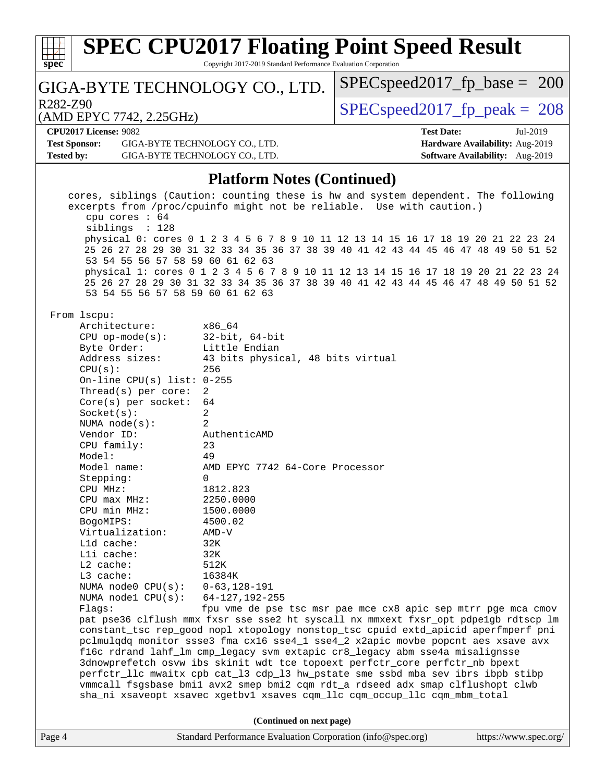| <b>SPEC CPU2017 Floating Point Speed Result</b><br>Copyright 2017-2019 Standard Performance Evaluation Corporation<br>$spec^*$ |                                                                                                                                                                       |                                 |                   |                                        |          |  |
|--------------------------------------------------------------------------------------------------------------------------------|-----------------------------------------------------------------------------------------------------------------------------------------------------------------------|---------------------------------|-------------------|----------------------------------------|----------|--|
| GIGA-BYTE TECHNOLOGY CO., LTD.                                                                                                 |                                                                                                                                                                       | $SPEC speed2017_fp\_base = 200$ |                   |                                        |          |  |
| R282-Z90                                                                                                                       |                                                                                                                                                                       | $SPEC speed2017fr peak = 208$   |                   |                                        |          |  |
| (AMD EPYC 7742, 2.25GHz)                                                                                                       |                                                                                                                                                                       |                                 |                   |                                        |          |  |
| <b>CPU2017 License: 9082</b>                                                                                                   |                                                                                                                                                                       |                                 | <b>Test Date:</b> |                                        | Jul-2019 |  |
| <b>Test Sponsor:</b><br>GIGA-BYTE TECHNOLOGY CO., LTD.                                                                         |                                                                                                                                                                       |                                 |                   | Hardware Availability: Aug-2019        |          |  |
| <b>Tested by:</b><br>GIGA-BYTE TECHNOLOGY CO., LTD.                                                                            |                                                                                                                                                                       |                                 |                   | <b>Software Availability:</b> Aug-2019 |          |  |
|                                                                                                                                | <b>Platform Notes (Continued)</b>                                                                                                                                     |                                 |                   |                                        |          |  |
|                                                                                                                                | cores, siblings (Caution: counting these is hw and system dependent. The following                                                                                    |                                 |                   |                                        |          |  |
| cpu cores : 64                                                                                                                 | excerpts from /proc/cpuinfo might not be reliable. Use with caution.)                                                                                                 |                                 |                   |                                        |          |  |
| siblings : 128                                                                                                                 |                                                                                                                                                                       |                                 |                   |                                        |          |  |
|                                                                                                                                | physical 0: cores 0 1 2 3 4 5 6 7 8 9 10 11 12 13 14 15 16 17 18 19 20 21 22 23 24                                                                                    |                                 |                   |                                        |          |  |
|                                                                                                                                | 25 26 27 28 29 30 31 32 33 34 35 36 37 38 39 40 41 42 43 44 45 46 47 48 49 50 51 52                                                                                   |                                 |                   |                                        |          |  |
| 53 54 55 56 57 58 59 60 61 62 63                                                                                               |                                                                                                                                                                       |                                 |                   |                                        |          |  |
|                                                                                                                                | physical 1: cores 0 1 2 3 4 5 6 7 8 9 10 11 12 13 14 15 16 17 18 19 20 21 22 23 24                                                                                    |                                 |                   |                                        |          |  |
| 53 54 55 56 57 58 59 60 61 62 63                                                                                               | 25 26 27 28 29 30 31 32 33 34 35 36 37 38 39 40 41 42 43 44 45 46 47 48 49 50 51 52                                                                                   |                                 |                   |                                        |          |  |
| From 1scpu:                                                                                                                    |                                                                                                                                                                       |                                 |                   |                                        |          |  |
| Architecture:                                                                                                                  | x86_64                                                                                                                                                                |                                 |                   |                                        |          |  |
| $CPU$ op-mode( $s$ ):                                                                                                          | $32$ -bit, $64$ -bit                                                                                                                                                  |                                 |                   |                                        |          |  |
| Byte Order:                                                                                                                    | Little Endian                                                                                                                                                         |                                 |                   |                                        |          |  |
| Address sizes:                                                                                                                 | 43 bits physical, 48 bits virtual                                                                                                                                     |                                 |                   |                                        |          |  |
| CPU(s):                                                                                                                        | 256                                                                                                                                                                   |                                 |                   |                                        |          |  |
| On-line CPU(s) list: $0-255$                                                                                                   |                                                                                                                                                                       |                                 |                   |                                        |          |  |
| Thread(s) per core:                                                                                                            | 2                                                                                                                                                                     |                                 |                   |                                        |          |  |
| $Core(s)$ per socket:                                                                                                          | 64                                                                                                                                                                    |                                 |                   |                                        |          |  |
| $Socket(s)$ :                                                                                                                  | 2<br>2                                                                                                                                                                |                                 |                   |                                        |          |  |
| NUMA $node(s)$ :<br>Vendor ID:                                                                                                 | AuthenticAMD                                                                                                                                                          |                                 |                   |                                        |          |  |
| CPU family:                                                                                                                    | 23                                                                                                                                                                    |                                 |                   |                                        |          |  |
| Model:                                                                                                                         | 49                                                                                                                                                                    |                                 |                   |                                        |          |  |
| Model name:                                                                                                                    | AMD EPYC 7742 64-Core Processor                                                                                                                                       |                                 |                   |                                        |          |  |
| Stepping:                                                                                                                      | $\Omega$                                                                                                                                                              |                                 |                   |                                        |          |  |
| CPU MHz:                                                                                                                       | 1812.823                                                                                                                                                              |                                 |                   |                                        |          |  |
| $CPU$ max $MHz$ :                                                                                                              | 2250.0000                                                                                                                                                             |                                 |                   |                                        |          |  |
| CPU min MHz:                                                                                                                   | 1500.0000                                                                                                                                                             |                                 |                   |                                        |          |  |
| BogoMIPS:                                                                                                                      | 4500.02                                                                                                                                                               |                                 |                   |                                        |          |  |
| Virtualization:                                                                                                                | $AMD-V$                                                                                                                                                               |                                 |                   |                                        |          |  |
| L1d cache:                                                                                                                     | 32K                                                                                                                                                                   |                                 |                   |                                        |          |  |
| Lli cache:                                                                                                                     | 32K                                                                                                                                                                   |                                 |                   |                                        |          |  |
| $L2$ cache:<br>L3 cache:                                                                                                       | 512K<br>16384K                                                                                                                                                        |                                 |                   |                                        |          |  |
| NUMA node0 CPU(s):                                                                                                             | $0 - 63, 128 - 191$                                                                                                                                                   |                                 |                   |                                        |          |  |
| NUMA $node1$ $CPU(s)$ :                                                                                                        | $64 - 127, 192 - 255$                                                                                                                                                 |                                 |                   |                                        |          |  |
| Flags:                                                                                                                         | fpu vme de pse tsc msr pae mce cx8 apic sep mtrr pge mca cmov                                                                                                         |                                 |                   |                                        |          |  |
|                                                                                                                                | pat pse36 clflush mmx fxsr sse sse2 ht syscall nx mmxext fxsr_opt pdpe1gb rdtscp lm                                                                                   |                                 |                   |                                        |          |  |
|                                                                                                                                | constant_tsc rep_good nopl xtopology nonstop_tsc cpuid extd_apicid aperfmperf pni<br>pclmulqdq monitor ssse3 fma cx16 sse4_1 sse4_2 x2apic movbe popcnt aes xsave avx |                                 |                   |                                        |          |  |
|                                                                                                                                | f16c rdrand lahf_lm cmp_legacy svm extapic cr8_legacy abm sse4a misalignsse                                                                                           |                                 |                   |                                        |          |  |
|                                                                                                                                | 3dnowprefetch osvw ibs skinit wdt tce topoext perfctr_core perfctr_nb bpext                                                                                           |                                 |                   |                                        |          |  |
|                                                                                                                                | perfctr_llc mwaitx cpb cat_13 cdp_13 hw_pstate sme ssbd mba sev ibrs ibpb stibp                                                                                       |                                 |                   |                                        |          |  |
|                                                                                                                                | vmmcall fsgsbase bmil avx2 smep bmi2 cqm rdt_a rdseed adx smap clflushopt clwb                                                                                        |                                 |                   |                                        |          |  |
|                                                                                                                                | sha_ni xsaveopt xsavec xgetbvl xsaves cqm_llc cqm_occup_llc cqm_mbm_total                                                                                             |                                 |                   |                                        |          |  |
|                                                                                                                                | (Continued on next page)                                                                                                                                              |                                 |                   |                                        |          |  |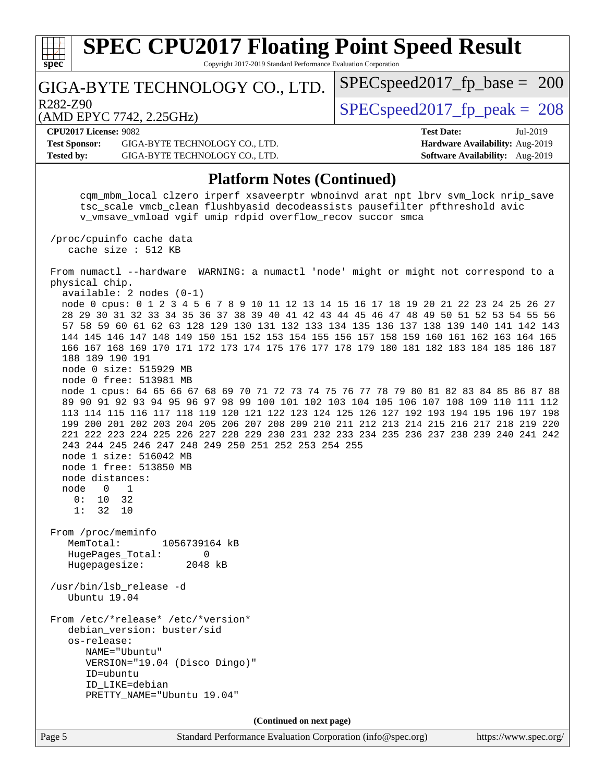| <b>SPEC CPU2017 Floating Point Speed Result</b><br>Copyright 2017-2019 Standard Performance Evaluation Corporation                                                                                                                                                                                                                                                                                                                                                                                                                                                                                                                                                                                                                                                                                                                                                                                                                                                                                                                                                                                                                                                                                                                                                                                                                           |                                                                                                     |
|----------------------------------------------------------------------------------------------------------------------------------------------------------------------------------------------------------------------------------------------------------------------------------------------------------------------------------------------------------------------------------------------------------------------------------------------------------------------------------------------------------------------------------------------------------------------------------------------------------------------------------------------------------------------------------------------------------------------------------------------------------------------------------------------------------------------------------------------------------------------------------------------------------------------------------------------------------------------------------------------------------------------------------------------------------------------------------------------------------------------------------------------------------------------------------------------------------------------------------------------------------------------------------------------------------------------------------------------|-----------------------------------------------------------------------------------------------------|
| $spec^*$<br>GIGA-BYTE TECHNOLOGY CO., LTD.                                                                                                                                                                                                                                                                                                                                                                                                                                                                                                                                                                                                                                                                                                                                                                                                                                                                                                                                                                                                                                                                                                                                                                                                                                                                                                   | $SPEC speed2017_fp\_base = 200$                                                                     |
| R282-Z90<br>(AMD EPYC 7742, 2.25GHz)                                                                                                                                                                                                                                                                                                                                                                                                                                                                                                                                                                                                                                                                                                                                                                                                                                                                                                                                                                                                                                                                                                                                                                                                                                                                                                         | $SPEC speed2017_fp\_peak = 208$                                                                     |
| <b>CPU2017 License: 9082</b><br><b>Test Sponsor:</b><br>GIGA-BYTE TECHNOLOGY CO., LTD.<br><b>Tested by:</b><br>GIGA-BYTE TECHNOLOGY CO., LTD.                                                                                                                                                                                                                                                                                                                                                                                                                                                                                                                                                                                                                                                                                                                                                                                                                                                                                                                                                                                                                                                                                                                                                                                                | <b>Test Date:</b><br>Jul-2019<br>Hardware Availability: Aug-2019<br>Software Availability: Aug-2019 |
| <b>Platform Notes (Continued)</b>                                                                                                                                                                                                                                                                                                                                                                                                                                                                                                                                                                                                                                                                                                                                                                                                                                                                                                                                                                                                                                                                                                                                                                                                                                                                                                            |                                                                                                     |
| cqm_mbm_local clzero irperf xsaveerptr wbnoinvd arat npt lbrv svm_lock nrip_save<br>tsc_scale vmcb_clean flushbyasid decodeassists pausefilter pfthreshold avic<br>v_vmsave_vmload vgif umip rdpid overflow_recov succor smca                                                                                                                                                                                                                                                                                                                                                                                                                                                                                                                                                                                                                                                                                                                                                                                                                                                                                                                                                                                                                                                                                                                |                                                                                                     |
| /proc/cpuinfo cache data<br>cache size : 512 KB                                                                                                                                                                                                                                                                                                                                                                                                                                                                                                                                                                                                                                                                                                                                                                                                                                                                                                                                                                                                                                                                                                                                                                                                                                                                                              |                                                                                                     |
| From numactl --hardware WARNING: a numactl 'node' might or might not correspond to a<br>physical chip.<br>$available: 2 nodes (0-1)$<br>node 0 cpus: 0 1 2 3 4 5 6 7 8 9 10 11 12 13 14 15 16 17 18 19 20 21 22 23 24 25 26 27<br>28 29 30 31 32 33 34 35 36 37 38 39 40 41 42 43 44 45 46 47 48 49 50 51 52 53 54 55 56<br>57 58 59 60 61 62 63 128 129 130 131 132 133 134 135 136 137 138 139 140 141 142 143<br>144 145 146 147 148 149 150 151 152 153 154 155 156 157 158 159 160 161 162 163 164 165<br>166 167 168 169 170 171 172 173 174 175 176 177 178 179 180 181 182 183 184 185 186 187<br>188 189 190 191<br>node 0 size: 515929 MB<br>node 0 free: 513981 MB<br>node 1 cpus: 64 65 66 67 68 69 70 71 72 73 74 75 76 77 78 79 80 81 82 83 84 85 86 87 88<br>89 90 91 92 93 94 95 96 97 98 99 100 101 102 103 104 105 106 107 108 109 110 111 112<br>113 114 115 116 117 118 119 120 121 122 123 124 125 126 127 192 193 194 195 196 197 198<br>199 200 201 202 203 204 205 206 207 208 209 210 211 212 213 214 215 216 217 218 219 220<br>221 222 223 224 225 226 227 228 229 230 231 232 233 234 235 236 237 238 239 240 241 242<br>243 244 245 246 247 248 249 250 251 252 253 254 255<br>node 1 size: 516042 MB<br>node 1 free: 513850 MB<br>node distances:<br>$\Omega$<br>1<br>node<br>10<br>0:<br>32<br>1:<br>32<br>10 |                                                                                                     |
| From /proc/meminfo<br>MemTotal:<br>1056739164 kB<br>HugePages_Total:<br>$\mathbf 0$<br>Hugepagesize:<br>2048 kB                                                                                                                                                                                                                                                                                                                                                                                                                                                                                                                                                                                                                                                                                                                                                                                                                                                                                                                                                                                                                                                                                                                                                                                                                              |                                                                                                     |
| /usr/bin/lsb_release -d<br>Ubuntu 19.04                                                                                                                                                                                                                                                                                                                                                                                                                                                                                                                                                                                                                                                                                                                                                                                                                                                                                                                                                                                                                                                                                                                                                                                                                                                                                                      |                                                                                                     |
| From /etc/*release* /etc/*version*<br>debian_version: buster/sid<br>os-release:<br>NAME="Ubuntu"<br>VERSION="19.04 (Disco Dingo)"<br>ID=ubuntu<br>ID_LIKE=debian<br>PRETTY_NAME="Ubuntu 19.04"<br>(Continued on next page)                                                                                                                                                                                                                                                                                                                                                                                                                                                                                                                                                                                                                                                                                                                                                                                                                                                                                                                                                                                                                                                                                                                   |                                                                                                     |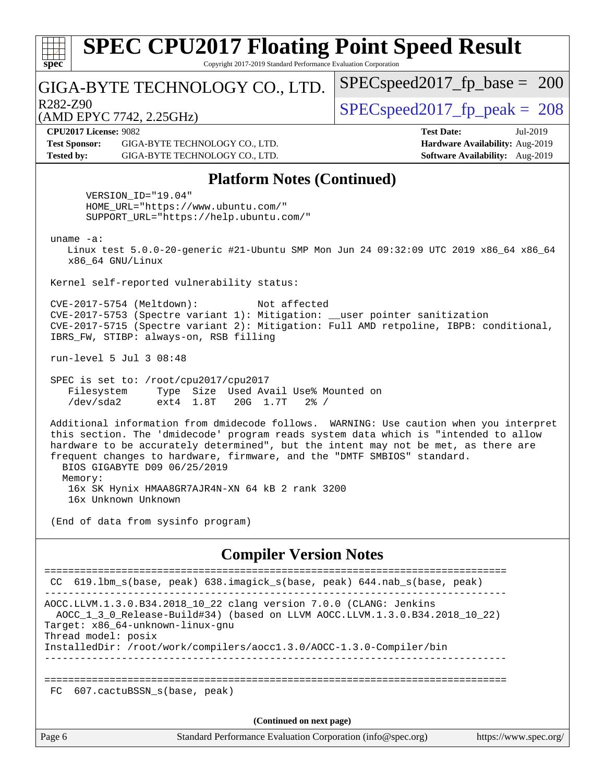| <b>SPEC CPU2017 Floating Point Speed Result</b><br>Copyright 2017-2019 Standard Performance Evaluation Corporation<br>spec <sup>®</sup>                                                                                                                                                                                                                                        |                                                                                                     |  |  |
|--------------------------------------------------------------------------------------------------------------------------------------------------------------------------------------------------------------------------------------------------------------------------------------------------------------------------------------------------------------------------------|-----------------------------------------------------------------------------------------------------|--|--|
| GIGA-BYTE TECHNOLOGY CO., LTD.                                                                                                                                                                                                                                                                                                                                                 | $SPEC speed2017_fp\_base = 200$                                                                     |  |  |
| R <sub>282</sub> -Z <sub>90</sub><br>(AMD EPYC 7742, 2.25GHz)                                                                                                                                                                                                                                                                                                                  | $SPEC speed2017_fp\_peak = 208$                                                                     |  |  |
| <b>CPU2017 License: 9082</b><br><b>Test Sponsor:</b><br>GIGA-BYTE TECHNOLOGY CO., LTD.<br><b>Tested by:</b><br>GIGA-BYTE TECHNOLOGY CO., LTD.                                                                                                                                                                                                                                  | <b>Test Date:</b><br>Jul-2019<br>Hardware Availability: Aug-2019<br>Software Availability: Aug-2019 |  |  |
| <b>Platform Notes (Continued)</b>                                                                                                                                                                                                                                                                                                                                              |                                                                                                     |  |  |
| VERSION_ID="19.04"<br>HOME_URL="https://www.ubuntu.com/"<br>SUPPORT URL="https://help.ubuntu.com/"                                                                                                                                                                                                                                                                             |                                                                                                     |  |  |
| uname $-a$ :<br>Linux test 5.0.0-20-generic #21-Ubuntu SMP Mon Jun 24 09:32:09 UTC 2019 x86_64 x86_64<br>x86_64 GNU/Linux                                                                                                                                                                                                                                                      |                                                                                                     |  |  |
| Kernel self-reported vulnerability status:                                                                                                                                                                                                                                                                                                                                     |                                                                                                     |  |  |
| CVE-2017-5754 (Meltdown):<br>Not affected<br>CVE-2017-5753 (Spectre variant 1): Mitigation: __user pointer sanitization<br>CVE-2017-5715 (Spectre variant 2): Mitigation: Full AMD retpoline, IBPB: conditional,<br>IBRS_FW, STIBP: always-on, RSB filling<br>run-level 5 Jul 3 08:48                                                                                          |                                                                                                     |  |  |
| SPEC is set to: /root/cpu2017/cpu2017<br>Type Size Used Avail Use% Mounted on<br>Filesystem<br>/dev/sda2<br>ext4 1.8T<br>20G 1.7T<br>$2\frac{8}{1}$ /                                                                                                                                                                                                                          |                                                                                                     |  |  |
| Additional information from dmidecode follows. WARNING: Use caution when you interpret<br>this section. The 'dmidecode' program reads system data which is "intended to allow<br>hardware to be accurately determined", but the intent may not be met, as there are<br>frequent changes to hardware, firmware, and the "DMTF SMBIOS" standard.<br>BIOS GIGABYTE D09 06/25/2019 |                                                                                                     |  |  |
| Memory:<br>16x SK Hynix HMAA8GR7AJR4N-XN 64 kB 2 rank 3200<br>16x Unknown Unknown                                                                                                                                                                                                                                                                                              |                                                                                                     |  |  |
| (End of data from sysinfo program)                                                                                                                                                                                                                                                                                                                                             |                                                                                                     |  |  |
| <b>Compiler Version Notes</b>                                                                                                                                                                                                                                                                                                                                                  |                                                                                                     |  |  |
| 619.1bm_s(base, peak) 638.imagick_s(base, peak) 644.nab_s(base, peak)<br>CC.                                                                                                                                                                                                                                                                                                   |                                                                                                     |  |  |
| AOCC.LLVM.1.3.0.B34.2018_10_22 clang version 7.0.0 (CLANG: Jenkins<br>AOCC_1_3_0_Release-Build#34) (based on LLVM AOCC.LLVM.1.3.0.B34.2018_10_22)<br>Target: x86_64-unknown-linux-gnu<br>Thread model: posix                                                                                                                                                                   |                                                                                                     |  |  |
| InstalledDir: /root/work/compilers/aoccl.3.0/AOCC-1.3.0-Compiler/bin                                                                                                                                                                                                                                                                                                           |                                                                                                     |  |  |
|                                                                                                                                                                                                                                                                                                                                                                                |                                                                                                     |  |  |

FC 607.cactuBSSN\_s(base, peak)

**(Continued on next page)**

Page 6 Standard Performance Evaluation Corporation [\(info@spec.org\)](mailto:info@spec.org) <https://www.spec.org/>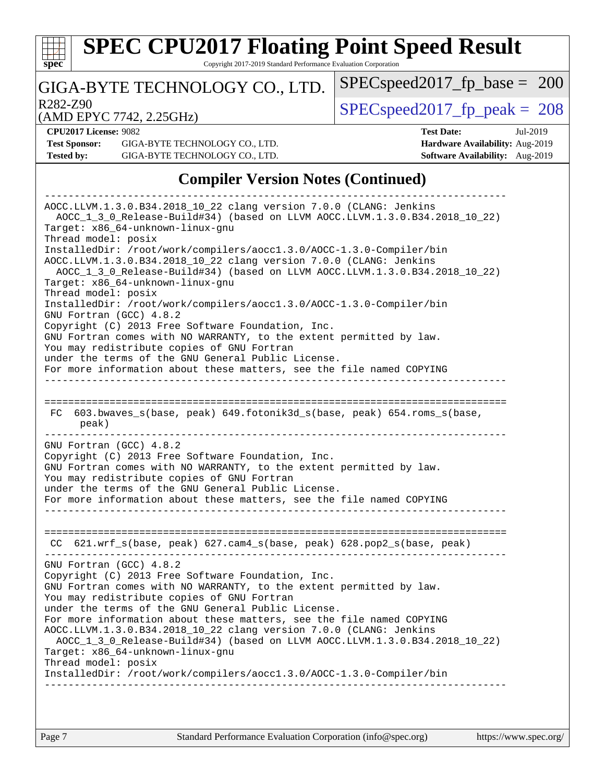

Copyright 2017-2019 Standard Performance Evaluation Corporation

### GIGA-BYTE TECHNOLOGY CO., LTD.

R282-Z90  $SPEC speed2017$  fp  $peak = 208$ 

SPECspeed2017 fp base =  $200$ 

(AMD EPYC 7742, 2.25GHz)

**[CPU2017 License:](http://www.spec.org/auto/cpu2017/Docs/result-fields.html#CPU2017License)** 9082 **[Test Date:](http://www.spec.org/auto/cpu2017/Docs/result-fields.html#TestDate)** Jul-2019 **[Test Sponsor:](http://www.spec.org/auto/cpu2017/Docs/result-fields.html#TestSponsor)** GIGA-BYTE TECHNOLOGY CO., LTD. **[Hardware Availability:](http://www.spec.org/auto/cpu2017/Docs/result-fields.html#HardwareAvailability)** Aug-2019 **[Tested by:](http://www.spec.org/auto/cpu2017/Docs/result-fields.html#Testedby)** GIGA-BYTE TECHNOLOGY CO., LTD. **[Software Availability:](http://www.spec.org/auto/cpu2017/Docs/result-fields.html#SoftwareAvailability)** Aug-2019

### **[Compiler Version Notes \(Continued\)](http://www.spec.org/auto/cpu2017/Docs/result-fields.html#CompilerVersionNotes)**

------------------------------------------------------------------------------ AOCC.LLVM.1.3.0.B34.2018\_10\_22 clang version 7.0.0 (CLANG: Jenkins AOCC\_1\_3\_0\_Release-Build#34) (based on LLVM AOCC.LLVM.1.3.0.B34.2018\_10\_22) Target: x86\_64-unknown-linux-gnu Thread model: posix InstalledDir: /root/work/compilers/aocc1.3.0/AOCC-1.3.0-Compiler/bin AOCC.LLVM.1.3.0.B34.2018\_10\_22 clang version 7.0.0 (CLANG: Jenkins AOCC\_1\_3\_0\_Release-Build#34) (based on LLVM AOCC.LLVM.1.3.0.B34.2018\_10\_22) Target: x86\_64-unknown-linux-gnu Thread model: posix InstalledDir: /root/work/compilers/aocc1.3.0/AOCC-1.3.0-Compiler/bin GNU Fortran (GCC) 4.8.2 Copyright (C) 2013 Free Software Foundation, Inc. GNU Fortran comes with NO WARRANTY, to the extent permitted by law. You may redistribute copies of GNU Fortran under the terms of the GNU General Public License. For more information about these matters, see the file named COPYING ------------------------------------------------------------------------------ ============================================================================== FC 603.bwaves\_s(base, peak) 649.fotonik3d\_s(base, peak) 654.roms\_s(base, peak) ------------------------------------------------------------------------------ GNU Fortran (GCC) 4.8.2 Copyright (C) 2013 Free Software Foundation, Inc. GNU Fortran comes with NO WARRANTY, to the extent permitted by law. You may redistribute copies of GNU Fortran under the terms of the GNU General Public License. For more information about these matters, see the file named COPYING ------------------------------------------------------------------------------ ============================================================================== CC 621.wrf\_s(base, peak) 627.cam4\_s(base, peak) 628.pop2\_s(base, peak) ------------------------------------------------------------------------------ GNU Fortran (GCC) 4.8.2 Copyright (C) 2013 Free Software Foundation, Inc. GNU Fortran comes with NO WARRANTY, to the extent permitted by law. You may redistribute copies of GNU Fortran under the terms of the GNU General Public License. For more information about these matters, see the file named COPYING AOCC.LLVM.1.3.0.B34.2018\_10\_22 clang version 7.0.0 (CLANG: Jenkins AOCC\_1\_3\_0\_Release-Build#34) (based on LLVM AOCC.LLVM.1.3.0.B34.2018\_10\_22) Target: x86\_64-unknown-linux-gnu Thread model: posix InstalledDir: /root/work/compilers/aocc1.3.0/AOCC-1.3.0-Compiler/bin ------------------------------------------------------------------------------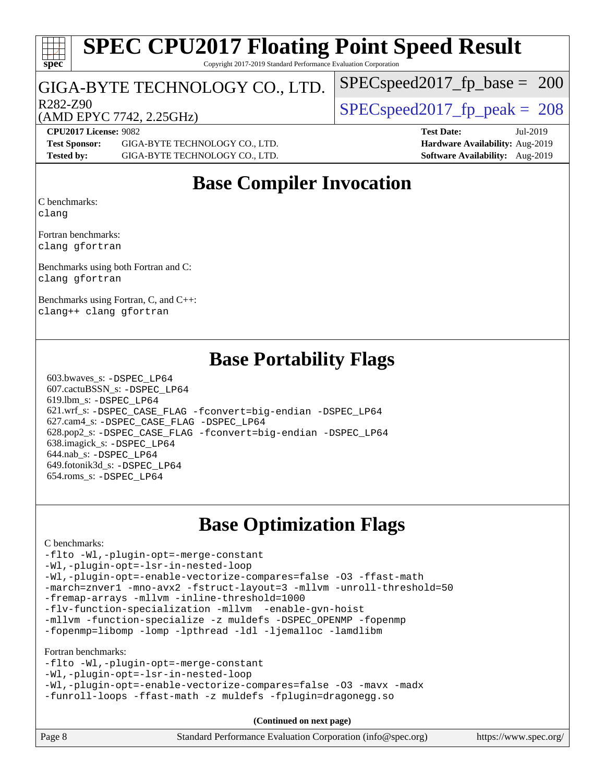# **[spec](http://www.spec.org/)**

# **[SPEC CPU2017 Floating Point Speed Result](http://www.spec.org/auto/cpu2017/Docs/result-fields.html#SPECCPU2017FloatingPointSpeedResult)**

Copyright 2017-2019 Standard Performance Evaluation Corporation

### GIGA-BYTE TECHNOLOGY CO., LTD.

R282-Z90  $SPEC speed2017$  fp  $peak = 208$ 

[SPECspeed2017\\_fp\\_base =](http://www.spec.org/auto/cpu2017/Docs/result-fields.html#SPECspeed2017fpbase) 200

### (AMD EPYC 7742, 2.25GHz)

**[CPU2017 License:](http://www.spec.org/auto/cpu2017/Docs/result-fields.html#CPU2017License)** 9082 **[Test Date:](http://www.spec.org/auto/cpu2017/Docs/result-fields.html#TestDate)** Jul-2019 **[Test Sponsor:](http://www.spec.org/auto/cpu2017/Docs/result-fields.html#TestSponsor)** GIGA-BYTE TECHNOLOGY CO., LTD. **[Hardware Availability:](http://www.spec.org/auto/cpu2017/Docs/result-fields.html#HardwareAvailability)** Aug-2019 **[Tested by:](http://www.spec.org/auto/cpu2017/Docs/result-fields.html#Testedby)** GIGA-BYTE TECHNOLOGY CO., LTD. **[Software Availability:](http://www.spec.org/auto/cpu2017/Docs/result-fields.html#SoftwareAvailability)** Aug-2019

## **[Base Compiler Invocation](http://www.spec.org/auto/cpu2017/Docs/result-fields.html#BaseCompilerInvocation)**

[C benchmarks](http://www.spec.org/auto/cpu2017/Docs/result-fields.html#Cbenchmarks): [clang](http://www.spec.org/cpu2017/results/res2019q3/cpu2017-20190722-16240.flags.html#user_CCbase_clang-c)

[Fortran benchmarks:](http://www.spec.org/auto/cpu2017/Docs/result-fields.html#Fortranbenchmarks) [clang](http://www.spec.org/cpu2017/results/res2019q3/cpu2017-20190722-16240.flags.html#user_FCbase_clang-c) [gfortran](http://www.spec.org/cpu2017/results/res2019q3/cpu2017-20190722-16240.flags.html#user_FCbase_aocc-gfortran_128c91a56d61ddb07404721e65b8f9498c31a443dacbd3b7f212891090eca86e2d099b520f75b99e9e8ac4fdec01f4d15f0b65e47123ec4c42b0759045731a1f)

[Benchmarks using both Fortran and C](http://www.spec.org/auto/cpu2017/Docs/result-fields.html#BenchmarksusingbothFortranandC): [clang](http://www.spec.org/cpu2017/results/res2019q3/cpu2017-20190722-16240.flags.html#user_CC_FCbase_clang-c) [gfortran](http://www.spec.org/cpu2017/results/res2019q3/cpu2017-20190722-16240.flags.html#user_CC_FCbase_aocc-gfortran_128c91a56d61ddb07404721e65b8f9498c31a443dacbd3b7f212891090eca86e2d099b520f75b99e9e8ac4fdec01f4d15f0b65e47123ec4c42b0759045731a1f)

[Benchmarks using Fortran, C, and C++](http://www.spec.org/auto/cpu2017/Docs/result-fields.html#BenchmarksusingFortranCandCXX): [clang++](http://www.spec.org/cpu2017/results/res2019q3/cpu2017-20190722-16240.flags.html#user_CC_CXX_FCbase_clang-cpp) [clang](http://www.spec.org/cpu2017/results/res2019q3/cpu2017-20190722-16240.flags.html#user_CC_CXX_FCbase_clang-c) [gfortran](http://www.spec.org/cpu2017/results/res2019q3/cpu2017-20190722-16240.flags.html#user_CC_CXX_FCbase_aocc-gfortran_128c91a56d61ddb07404721e65b8f9498c31a443dacbd3b7f212891090eca86e2d099b520f75b99e9e8ac4fdec01f4d15f0b65e47123ec4c42b0759045731a1f)

## **[Base Portability Flags](http://www.spec.org/auto/cpu2017/Docs/result-fields.html#BasePortabilityFlags)**

 603.bwaves\_s: [-DSPEC\\_LP64](http://www.spec.org/cpu2017/results/res2019q3/cpu2017-20190722-16240.flags.html#suite_baseEXTRA_PORTABILITY603_bwaves_s_DSPEC_LP64) 607.cactuBSSN\_s: [-DSPEC\\_LP64](http://www.spec.org/cpu2017/results/res2019q3/cpu2017-20190722-16240.flags.html#suite_baseEXTRA_PORTABILITY607_cactuBSSN_s_DSPEC_LP64) 619.lbm\_s: [-DSPEC\\_LP64](http://www.spec.org/cpu2017/results/res2019q3/cpu2017-20190722-16240.flags.html#suite_baseEXTRA_PORTABILITY619_lbm_s_DSPEC_LP64) 621.wrf\_s: [-DSPEC\\_CASE\\_FLAG](http://www.spec.org/cpu2017/results/res2019q3/cpu2017-20190722-16240.flags.html#b621.wrf_s_baseCPORTABILITY_DSPEC_CASE_FLAG) [-fconvert=big-endian](http://www.spec.org/cpu2017/results/res2019q3/cpu2017-20190722-16240.flags.html#user_baseFPORTABILITY621_wrf_s_F-fconvert) [-DSPEC\\_LP64](http://www.spec.org/cpu2017/results/res2019q3/cpu2017-20190722-16240.flags.html#suite_baseEXTRA_PORTABILITY621_wrf_s_DSPEC_LP64) 627.cam4\_s: [-DSPEC\\_CASE\\_FLAG](http://www.spec.org/cpu2017/results/res2019q3/cpu2017-20190722-16240.flags.html#b627.cam4_s_basePORTABILITY_DSPEC_CASE_FLAG) [-DSPEC\\_LP64](http://www.spec.org/cpu2017/results/res2019q3/cpu2017-20190722-16240.flags.html#suite_baseEXTRA_PORTABILITY627_cam4_s_DSPEC_LP64) 628.pop2\_s: [-DSPEC\\_CASE\\_FLAG](http://www.spec.org/cpu2017/results/res2019q3/cpu2017-20190722-16240.flags.html#b628.pop2_s_baseCPORTABILITY_DSPEC_CASE_FLAG) [-fconvert=big-endian](http://www.spec.org/cpu2017/results/res2019q3/cpu2017-20190722-16240.flags.html#user_baseFPORTABILITY628_pop2_s_F-fconvert) [-DSPEC\\_LP64](http://www.spec.org/cpu2017/results/res2019q3/cpu2017-20190722-16240.flags.html#suite_baseEXTRA_PORTABILITY628_pop2_s_DSPEC_LP64) 638.imagick\_s: [-DSPEC\\_LP64](http://www.spec.org/cpu2017/results/res2019q3/cpu2017-20190722-16240.flags.html#suite_baseEXTRA_PORTABILITY638_imagick_s_DSPEC_LP64) 644.nab\_s: [-DSPEC\\_LP64](http://www.spec.org/cpu2017/results/res2019q3/cpu2017-20190722-16240.flags.html#suite_baseEXTRA_PORTABILITY644_nab_s_DSPEC_LP64) 649.fotonik3d\_s: [-DSPEC\\_LP64](http://www.spec.org/cpu2017/results/res2019q3/cpu2017-20190722-16240.flags.html#suite_baseEXTRA_PORTABILITY649_fotonik3d_s_DSPEC_LP64) 654.roms\_s: [-DSPEC\\_LP64](http://www.spec.org/cpu2017/results/res2019q3/cpu2017-20190722-16240.flags.html#suite_baseEXTRA_PORTABILITY654_roms_s_DSPEC_LP64)

## **[Base Optimization Flags](http://www.spec.org/auto/cpu2017/Docs/result-fields.html#BaseOptimizationFlags)**

#### [C benchmarks](http://www.spec.org/auto/cpu2017/Docs/result-fields.html#Cbenchmarks):

[-flto](http://www.spec.org/cpu2017/results/res2019q3/cpu2017-20190722-16240.flags.html#user_CCbase_aocc-flto) [-Wl,-plugin-opt=-merge-constant](http://www.spec.org/cpu2017/results/res2019q3/cpu2017-20190722-16240.flags.html#user_CCbase_F-merge-constant_1d79771b5442061d9c8e05556c6b0c655e6c9e66f8c6936b0129d434b6acd2b1cf1b7cd2540d1570ff636111b08a6bc36e2e61fc34531f8ef7c1a34c57be1dbb) [-Wl,-plugin-opt=-lsr-in-nested-loop](http://www.spec.org/cpu2017/results/res2019q3/cpu2017-20190722-16240.flags.html#user_CCbase_lsr-in-nested-loop_1cff93fd95162f5e77640b5271e8bed680fb62b4a8d96fb8ab217ff3244646f1fbb342e31af83c263403bbf5249c7dc7732d5c86c3eab4cc8d32dcb7a6f33ca0) [-Wl,-plugin-opt=-enable-vectorize-compares=false](http://www.spec.org/cpu2017/results/res2019q3/cpu2017-20190722-16240.flags.html#user_CCbase_disable-vectorize-compares_b853f8418a42cc06a425f4a16db6b380d14e00519cd0324381fbe3b5fed198752fe9eb4cd4ff428f878821db69d9c031475f4f5f073a0fc0b0734450034716e8) [-O3](http://www.spec.org/cpu2017/results/res2019q3/cpu2017-20190722-16240.flags.html#user_CCbase_F-O3) [-ffast-math](http://www.spec.org/cpu2017/results/res2019q3/cpu2017-20190722-16240.flags.html#user_CCbase_aocc-ffast-math) [-march=znver1](http://www.spec.org/cpu2017/results/res2019q3/cpu2017-20190722-16240.flags.html#user_CCbase_aocc-march) [-mno-avx2](http://www.spec.org/cpu2017/results/res2019q3/cpu2017-20190722-16240.flags.html#user_CCbase_F-mno-avx2) [-fstruct-layout=3](http://www.spec.org/cpu2017/results/res2019q3/cpu2017-20190722-16240.flags.html#user_CCbase_struct-layout) [-mllvm -unroll-threshold=50](http://www.spec.org/cpu2017/results/res2019q3/cpu2017-20190722-16240.flags.html#user_CCbase_unroll-threshold_458874500b2c105d6d5cb4d7a611c40e2b16e9e3d26b355fea72d644c3673b4de4b3932662f0ed3dbec75c491a13da2d2ca81180bd779dc531083ef1e1e549dc) [-fremap-arrays](http://www.spec.org/cpu2017/results/res2019q3/cpu2017-20190722-16240.flags.html#user_CCbase_F-fremap-arrays) [-mllvm -inline-threshold=1000](http://www.spec.org/cpu2017/results/res2019q3/cpu2017-20190722-16240.flags.html#user_CCbase_dragonegg-llvm-inline-threshold_b7832241b0a6397e4ecdbaf0eb7defdc10f885c2a282fa3240fdc99844d543fda39cf8a4a9dccf68cf19b5438ac3b455264f478df15da0f4988afa40d8243bab) [-flv-function-specialization](http://www.spec.org/cpu2017/results/res2019q3/cpu2017-20190722-16240.flags.html#user_CCbase_F-flv-function-specialization) [-mllvm -enable-gvn-hoist](http://www.spec.org/cpu2017/results/res2019q3/cpu2017-20190722-16240.flags.html#user_CCbase_F-enable-gvn-hoist_98f0171d4f818d7f97896885cc39145d9c6ec6ecaa45bb289c3a12839072136e4af160d9bd95e903e60fee72c4a35db75799b8a57e2b8d1ccd3b6c61417e660c) [-mllvm -function-specialize](http://www.spec.org/cpu2017/results/res2019q3/cpu2017-20190722-16240.flags.html#user_CCbase_function-specialize_233b3bdba86027f1b094368157e481c5bc59f40286dc25bfadc1858dcd5745c24fd30d5f188710db7fea399bcc9f44a80b3ce3aacc70a8870250c3ae5e1f35b8) [-z muldefs](http://www.spec.org/cpu2017/results/res2019q3/cpu2017-20190722-16240.flags.html#user_CCbase_aocc-muldefs) [-DSPEC\\_OPENMP](http://www.spec.org/cpu2017/results/res2019q3/cpu2017-20190722-16240.flags.html#suite_CCbase_DSPEC_OPENMP) [-fopenmp](http://www.spec.org/cpu2017/results/res2019q3/cpu2017-20190722-16240.flags.html#user_CCbase_F-fopenmp) [-fopenmp=libomp](http://www.spec.org/cpu2017/results/res2019q3/cpu2017-20190722-16240.flags.html#user_CCbase_F-fopenmp_3eb6ab80166bcc84161ff8c20c8d5bc344f88119f45620444596454f7d72e99b7a0ceefc2d1b4d190bd07306bbfdfc20f11f5a2dc69c9b03c72239f8406741c3) [-lomp](http://www.spec.org/cpu2017/results/res2019q3/cpu2017-20190722-16240.flags.html#user_CCbase_F-lomp) [-lpthread](http://www.spec.org/cpu2017/results/res2019q3/cpu2017-20190722-16240.flags.html#user_CCbase_F-lpthread) [-ldl](http://www.spec.org/cpu2017/results/res2019q3/cpu2017-20190722-16240.flags.html#user_CCbase_F-ldl) [-ljemalloc](http://www.spec.org/cpu2017/results/res2019q3/cpu2017-20190722-16240.flags.html#user_CCbase_jemalloc-lib) [-lamdlibm](http://www.spec.org/cpu2017/results/res2019q3/cpu2017-20190722-16240.flags.html#user_CCbase_F-lamdlibm) [Fortran benchmarks](http://www.spec.org/auto/cpu2017/Docs/result-fields.html#Fortranbenchmarks):

[-flto](http://www.spec.org/cpu2017/results/res2019q3/cpu2017-20190722-16240.flags.html#user_FCbase_aocc-flto) [-Wl,-plugin-opt=-merge-constant](http://www.spec.org/cpu2017/results/res2019q3/cpu2017-20190722-16240.flags.html#user_FCbase_F-merge-constant_1d79771b5442061d9c8e05556c6b0c655e6c9e66f8c6936b0129d434b6acd2b1cf1b7cd2540d1570ff636111b08a6bc36e2e61fc34531f8ef7c1a34c57be1dbb) [-Wl,-plugin-opt=-lsr-in-nested-loop](http://www.spec.org/cpu2017/results/res2019q3/cpu2017-20190722-16240.flags.html#user_FCbase_lsr-in-nested-loop_1cff93fd95162f5e77640b5271e8bed680fb62b4a8d96fb8ab217ff3244646f1fbb342e31af83c263403bbf5249c7dc7732d5c86c3eab4cc8d32dcb7a6f33ca0) [-Wl,-plugin-opt=-enable-vectorize-compares=false](http://www.spec.org/cpu2017/results/res2019q3/cpu2017-20190722-16240.flags.html#user_FCbase_disable-vectorize-compares_b853f8418a42cc06a425f4a16db6b380d14e00519cd0324381fbe3b5fed198752fe9eb4cd4ff428f878821db69d9c031475f4f5f073a0fc0b0734450034716e8) [-O3](http://www.spec.org/cpu2017/results/res2019q3/cpu2017-20190722-16240.flags.html#user_FCbase_F-O3) [-mavx](http://www.spec.org/cpu2017/results/res2019q3/cpu2017-20190722-16240.flags.html#user_FCbase_F-mavx) [-madx](http://www.spec.org/cpu2017/results/res2019q3/cpu2017-20190722-16240.flags.html#user_FCbase_F-madx) [-funroll-loops](http://www.spec.org/cpu2017/results/res2019q3/cpu2017-20190722-16240.flags.html#user_FCbase_aocc-unroll-loops) [-ffast-math](http://www.spec.org/cpu2017/results/res2019q3/cpu2017-20190722-16240.flags.html#user_FCbase_aocc-ffast-math) [-z muldefs](http://www.spec.org/cpu2017/results/res2019q3/cpu2017-20190722-16240.flags.html#user_FCbase_aocc-muldefs) [-fplugin=dragonegg.so](http://www.spec.org/cpu2017/results/res2019q3/cpu2017-20190722-16240.flags.html#user_FCbase_plugin-DragonEgg)

**(Continued on next page)**

| Page 8<br>Standard Performance Evaluation Corporation (info@spec.org)<br>https://www.spec.org/ |
|------------------------------------------------------------------------------------------------|
|------------------------------------------------------------------------------------------------|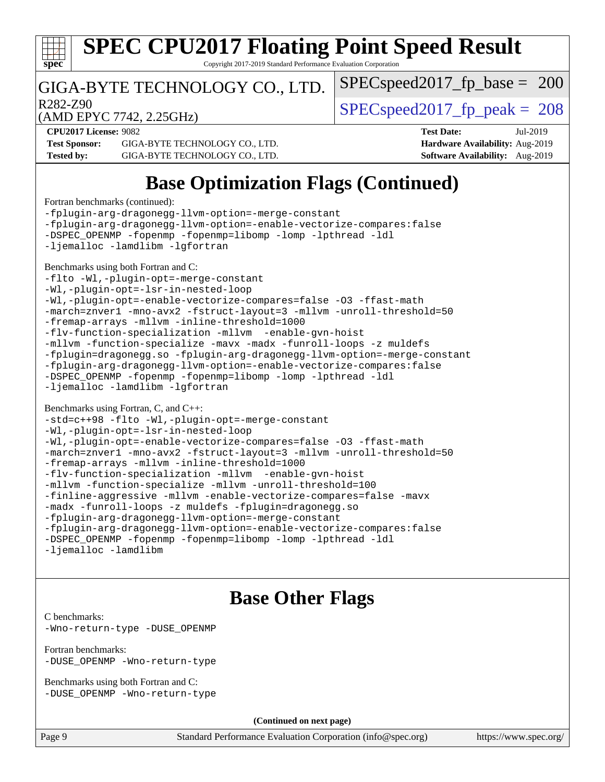

Copyright 2017-2019 Standard Performance Evaluation Corporation

### GIGA-BYTE TECHNOLOGY CO., LTD.

R282-Z90  $SPEC speed2017$  fp  $peak = 208$ 

 $SPEC speed2017_fp\_base = 200$ 

(AMD EPYC 7742, 2.25GHz)

**[CPU2017 License:](http://www.spec.org/auto/cpu2017/Docs/result-fields.html#CPU2017License)** 9082 **[Test Date:](http://www.spec.org/auto/cpu2017/Docs/result-fields.html#TestDate)** Jul-2019 **[Test Sponsor:](http://www.spec.org/auto/cpu2017/Docs/result-fields.html#TestSponsor)** GIGA-BYTE TECHNOLOGY CO., LTD. **[Hardware Availability:](http://www.spec.org/auto/cpu2017/Docs/result-fields.html#HardwareAvailability)** Aug-2019 **[Tested by:](http://www.spec.org/auto/cpu2017/Docs/result-fields.html#Testedby)** GIGA-BYTE TECHNOLOGY CO., LTD. **[Software Availability:](http://www.spec.org/auto/cpu2017/Docs/result-fields.html#SoftwareAvailability)** Aug-2019

## **[Base Optimization Flags \(Continued\)](http://www.spec.org/auto/cpu2017/Docs/result-fields.html#BaseOptimizationFlags)**

[Fortran benchmarks](http://www.spec.org/auto/cpu2017/Docs/result-fields.html#Fortranbenchmarks) (continued):

[-fplugin-arg-dragonegg-llvm-option=-merge-constant](http://www.spec.org/cpu2017/results/res2019q3/cpu2017-20190722-16240.flags.html#user_FCbase_F-merge-constant_37fd66d07a4fbae8f1b816e843c3ed1ebaa48f794b65ea8be746a1880566a3d23eba4a3c37b5c024650311adcf9247c62af28144803b3729b14be14423fa5142) [-fplugin-arg-dragonegg-llvm-option=-enable-vectorize-compares:false](http://www.spec.org/cpu2017/results/res2019q3/cpu2017-20190722-16240.flags.html#user_FCbase_disable-vectorize-compares_d4094b735d9772f5001bab891b2a0f9b1e0f937da6fdfe4e9819ace3776bcc13a4b4fcd9a28f53dc5d73dd9ab9700532467376ddc09187e57c9ec8837a5c2d32) [-DSPEC\\_OPENMP](http://www.spec.org/cpu2017/results/res2019q3/cpu2017-20190722-16240.flags.html#suite_FCbase_DSPEC_OPENMP) [-fopenmp](http://www.spec.org/cpu2017/results/res2019q3/cpu2017-20190722-16240.flags.html#user_FCbase_F-fopenmp) [-fopenmp=libomp](http://www.spec.org/cpu2017/results/res2019q3/cpu2017-20190722-16240.flags.html#user_FCbase_F-fopenmp_3eb6ab80166bcc84161ff8c20c8d5bc344f88119f45620444596454f7d72e99b7a0ceefc2d1b4d190bd07306bbfdfc20f11f5a2dc69c9b03c72239f8406741c3) [-lomp](http://www.spec.org/cpu2017/results/res2019q3/cpu2017-20190722-16240.flags.html#user_FCbase_F-lomp) [-lpthread](http://www.spec.org/cpu2017/results/res2019q3/cpu2017-20190722-16240.flags.html#user_FCbase_F-lpthread) [-ldl](http://www.spec.org/cpu2017/results/res2019q3/cpu2017-20190722-16240.flags.html#user_FCbase_F-ldl) [-ljemalloc](http://www.spec.org/cpu2017/results/res2019q3/cpu2017-20190722-16240.flags.html#user_FCbase_jemalloc-lib) [-lamdlibm](http://www.spec.org/cpu2017/results/res2019q3/cpu2017-20190722-16240.flags.html#user_FCbase_F-lamdlibm) [-lgfortran](http://www.spec.org/cpu2017/results/res2019q3/cpu2017-20190722-16240.flags.html#user_FCbase_F-lgfortran) [Benchmarks using both Fortran and C](http://www.spec.org/auto/cpu2017/Docs/result-fields.html#BenchmarksusingbothFortranandC): [-flto](http://www.spec.org/cpu2017/results/res2019q3/cpu2017-20190722-16240.flags.html#user_CC_FCbase_aocc-flto) [-Wl,-plugin-opt=-merge-constant](http://www.spec.org/cpu2017/results/res2019q3/cpu2017-20190722-16240.flags.html#user_CC_FCbase_F-merge-constant_1d79771b5442061d9c8e05556c6b0c655e6c9e66f8c6936b0129d434b6acd2b1cf1b7cd2540d1570ff636111b08a6bc36e2e61fc34531f8ef7c1a34c57be1dbb) [-Wl,-plugin-opt=-lsr-in-nested-loop](http://www.spec.org/cpu2017/results/res2019q3/cpu2017-20190722-16240.flags.html#user_CC_FCbase_lsr-in-nested-loop_1cff93fd95162f5e77640b5271e8bed680fb62b4a8d96fb8ab217ff3244646f1fbb342e31af83c263403bbf5249c7dc7732d5c86c3eab4cc8d32dcb7a6f33ca0) [-Wl,-plugin-opt=-enable-vectorize-compares=false](http://www.spec.org/cpu2017/results/res2019q3/cpu2017-20190722-16240.flags.html#user_CC_FCbase_disable-vectorize-compares_b853f8418a42cc06a425f4a16db6b380d14e00519cd0324381fbe3b5fed198752fe9eb4cd4ff428f878821db69d9c031475f4f5f073a0fc0b0734450034716e8) [-O3](http://www.spec.org/cpu2017/results/res2019q3/cpu2017-20190722-16240.flags.html#user_CC_FCbase_F-O3) [-ffast-math](http://www.spec.org/cpu2017/results/res2019q3/cpu2017-20190722-16240.flags.html#user_CC_FCbase_aocc-ffast-math) [-march=znver1](http://www.spec.org/cpu2017/results/res2019q3/cpu2017-20190722-16240.flags.html#user_CC_FCbase_aocc-march) [-mno-avx2](http://www.spec.org/cpu2017/results/res2019q3/cpu2017-20190722-16240.flags.html#user_CC_FCbase_F-mno-avx2) [-fstruct-layout=3](http://www.spec.org/cpu2017/results/res2019q3/cpu2017-20190722-16240.flags.html#user_CC_FCbase_struct-layout) [-mllvm -unroll-threshold=50](http://www.spec.org/cpu2017/results/res2019q3/cpu2017-20190722-16240.flags.html#user_CC_FCbase_unroll-threshold_458874500b2c105d6d5cb4d7a611c40e2b16e9e3d26b355fea72d644c3673b4de4b3932662f0ed3dbec75c491a13da2d2ca81180bd779dc531083ef1e1e549dc) [-fremap-arrays](http://www.spec.org/cpu2017/results/res2019q3/cpu2017-20190722-16240.flags.html#user_CC_FCbase_F-fremap-arrays) [-mllvm -inline-threshold=1000](http://www.spec.org/cpu2017/results/res2019q3/cpu2017-20190722-16240.flags.html#user_CC_FCbase_dragonegg-llvm-inline-threshold_b7832241b0a6397e4ecdbaf0eb7defdc10f885c2a282fa3240fdc99844d543fda39cf8a4a9dccf68cf19b5438ac3b455264f478df15da0f4988afa40d8243bab) [-flv-function-specialization](http://www.spec.org/cpu2017/results/res2019q3/cpu2017-20190722-16240.flags.html#user_CC_FCbase_F-flv-function-specialization) [-mllvm -enable-gvn-hoist](http://www.spec.org/cpu2017/results/res2019q3/cpu2017-20190722-16240.flags.html#user_CC_FCbase_F-enable-gvn-hoist_98f0171d4f818d7f97896885cc39145d9c6ec6ecaa45bb289c3a12839072136e4af160d9bd95e903e60fee72c4a35db75799b8a57e2b8d1ccd3b6c61417e660c) [-mllvm -function-specialize](http://www.spec.org/cpu2017/results/res2019q3/cpu2017-20190722-16240.flags.html#user_CC_FCbase_function-specialize_233b3bdba86027f1b094368157e481c5bc59f40286dc25bfadc1858dcd5745c24fd30d5f188710db7fea399bcc9f44a80b3ce3aacc70a8870250c3ae5e1f35b8) [-mavx](http://www.spec.org/cpu2017/results/res2019q3/cpu2017-20190722-16240.flags.html#user_CC_FCbase_F-mavx) [-madx](http://www.spec.org/cpu2017/results/res2019q3/cpu2017-20190722-16240.flags.html#user_CC_FCbase_F-madx) [-funroll-loops](http://www.spec.org/cpu2017/results/res2019q3/cpu2017-20190722-16240.flags.html#user_CC_FCbase_aocc-unroll-loops) [-z muldefs](http://www.spec.org/cpu2017/results/res2019q3/cpu2017-20190722-16240.flags.html#user_CC_FCbase_aocc-muldefs) [-fplugin=dragonegg.so](http://www.spec.org/cpu2017/results/res2019q3/cpu2017-20190722-16240.flags.html#user_CC_FCbase_plugin-DragonEgg) [-fplugin-arg-dragonegg-llvm-option=-merge-constant](http://www.spec.org/cpu2017/results/res2019q3/cpu2017-20190722-16240.flags.html#user_CC_FCbase_F-merge-constant_37fd66d07a4fbae8f1b816e843c3ed1ebaa48f794b65ea8be746a1880566a3d23eba4a3c37b5c024650311adcf9247c62af28144803b3729b14be14423fa5142) [-fplugin-arg-dragonegg-llvm-option=-enable-vectorize-compares:false](http://www.spec.org/cpu2017/results/res2019q3/cpu2017-20190722-16240.flags.html#user_CC_FCbase_disable-vectorize-compares_d4094b735d9772f5001bab891b2a0f9b1e0f937da6fdfe4e9819ace3776bcc13a4b4fcd9a28f53dc5d73dd9ab9700532467376ddc09187e57c9ec8837a5c2d32) [-DSPEC\\_OPENMP](http://www.spec.org/cpu2017/results/res2019q3/cpu2017-20190722-16240.flags.html#suite_CC_FCbase_DSPEC_OPENMP) [-fopenmp](http://www.spec.org/cpu2017/results/res2019q3/cpu2017-20190722-16240.flags.html#user_CC_FCbase_F-fopenmp) [-fopenmp=libomp](http://www.spec.org/cpu2017/results/res2019q3/cpu2017-20190722-16240.flags.html#user_CC_FCbase_F-fopenmp_3eb6ab80166bcc84161ff8c20c8d5bc344f88119f45620444596454f7d72e99b7a0ceefc2d1b4d190bd07306bbfdfc20f11f5a2dc69c9b03c72239f8406741c3) [-lomp](http://www.spec.org/cpu2017/results/res2019q3/cpu2017-20190722-16240.flags.html#user_CC_FCbase_F-lomp) [-lpthread](http://www.spec.org/cpu2017/results/res2019q3/cpu2017-20190722-16240.flags.html#user_CC_FCbase_F-lpthread) [-ldl](http://www.spec.org/cpu2017/results/res2019q3/cpu2017-20190722-16240.flags.html#user_CC_FCbase_F-ldl) [-ljemalloc](http://www.spec.org/cpu2017/results/res2019q3/cpu2017-20190722-16240.flags.html#user_CC_FCbase_jemalloc-lib) [-lamdlibm](http://www.spec.org/cpu2017/results/res2019q3/cpu2017-20190722-16240.flags.html#user_CC_FCbase_F-lamdlibm) [-lgfortran](http://www.spec.org/cpu2017/results/res2019q3/cpu2017-20190722-16240.flags.html#user_CC_FCbase_F-lgfortran) [Benchmarks using Fortran, C, and C++:](http://www.spec.org/auto/cpu2017/Docs/result-fields.html#BenchmarksusingFortranCandCXX) [-std=c++98](http://www.spec.org/cpu2017/results/res2019q3/cpu2017-20190722-16240.flags.html#user_CC_CXX_FCbase_std-cpp) [-flto](http://www.spec.org/cpu2017/results/res2019q3/cpu2017-20190722-16240.flags.html#user_CC_CXX_FCbase_aocc-flto) [-Wl,-plugin-opt=-merge-constant](http://www.spec.org/cpu2017/results/res2019q3/cpu2017-20190722-16240.flags.html#user_CC_CXX_FCbase_F-merge-constant_1d79771b5442061d9c8e05556c6b0c655e6c9e66f8c6936b0129d434b6acd2b1cf1b7cd2540d1570ff636111b08a6bc36e2e61fc34531f8ef7c1a34c57be1dbb) [-Wl,-plugin-opt=-lsr-in-nested-loop](http://www.spec.org/cpu2017/results/res2019q3/cpu2017-20190722-16240.flags.html#user_CC_CXX_FCbase_lsr-in-nested-loop_1cff93fd95162f5e77640b5271e8bed680fb62b4a8d96fb8ab217ff3244646f1fbb342e31af83c263403bbf5249c7dc7732d5c86c3eab4cc8d32dcb7a6f33ca0) [-Wl,-plugin-opt=-enable-vectorize-compares=false](http://www.spec.org/cpu2017/results/res2019q3/cpu2017-20190722-16240.flags.html#user_CC_CXX_FCbase_disable-vectorize-compares_b853f8418a42cc06a425f4a16db6b380d14e00519cd0324381fbe3b5fed198752fe9eb4cd4ff428f878821db69d9c031475f4f5f073a0fc0b0734450034716e8) [-O3](http://www.spec.org/cpu2017/results/res2019q3/cpu2017-20190722-16240.flags.html#user_CC_CXX_FCbase_F-O3) [-ffast-math](http://www.spec.org/cpu2017/results/res2019q3/cpu2017-20190722-16240.flags.html#user_CC_CXX_FCbase_aocc-ffast-math) [-march=znver1](http://www.spec.org/cpu2017/results/res2019q3/cpu2017-20190722-16240.flags.html#user_CC_CXX_FCbase_aocc-march) [-mno-avx2](http://www.spec.org/cpu2017/results/res2019q3/cpu2017-20190722-16240.flags.html#user_CC_CXX_FCbase_F-mno-avx2) [-fstruct-layout=3](http://www.spec.org/cpu2017/results/res2019q3/cpu2017-20190722-16240.flags.html#user_CC_CXX_FCbase_struct-layout) [-mllvm -unroll-threshold=50](http://www.spec.org/cpu2017/results/res2019q3/cpu2017-20190722-16240.flags.html#user_CC_CXX_FCbase_unroll-threshold_458874500b2c105d6d5cb4d7a611c40e2b16e9e3d26b355fea72d644c3673b4de4b3932662f0ed3dbec75c491a13da2d2ca81180bd779dc531083ef1e1e549dc) [-fremap-arrays](http://www.spec.org/cpu2017/results/res2019q3/cpu2017-20190722-16240.flags.html#user_CC_CXX_FCbase_F-fremap-arrays) [-mllvm -inline-threshold=1000](http://www.spec.org/cpu2017/results/res2019q3/cpu2017-20190722-16240.flags.html#user_CC_CXX_FCbase_dragonegg-llvm-inline-threshold_b7832241b0a6397e4ecdbaf0eb7defdc10f885c2a282fa3240fdc99844d543fda39cf8a4a9dccf68cf19b5438ac3b455264f478df15da0f4988afa40d8243bab) [-flv-function-specialization](http://www.spec.org/cpu2017/results/res2019q3/cpu2017-20190722-16240.flags.html#user_CC_CXX_FCbase_F-flv-function-specialization) [-mllvm -enable-gvn-hoist](http://www.spec.org/cpu2017/results/res2019q3/cpu2017-20190722-16240.flags.html#user_CC_CXX_FCbase_F-enable-gvn-hoist_98f0171d4f818d7f97896885cc39145d9c6ec6ecaa45bb289c3a12839072136e4af160d9bd95e903e60fee72c4a35db75799b8a57e2b8d1ccd3b6c61417e660c) [-mllvm -function-specialize](http://www.spec.org/cpu2017/results/res2019q3/cpu2017-20190722-16240.flags.html#user_CC_CXX_FCbase_function-specialize_233b3bdba86027f1b094368157e481c5bc59f40286dc25bfadc1858dcd5745c24fd30d5f188710db7fea399bcc9f44a80b3ce3aacc70a8870250c3ae5e1f35b8) [-mllvm -unroll-threshold=100](http://www.spec.org/cpu2017/results/res2019q3/cpu2017-20190722-16240.flags.html#user_CC_CXX_FCbase_unroll-threshold_2755d0c78138845d361fa1543e3a063fffa198df9b3edf0cfb856bbc88a81e1769b12ac7a550c5d35197be55360db1a3f95a8d1304df999456cabf5120c45168) [-finline-aggressive](http://www.spec.org/cpu2017/results/res2019q3/cpu2017-20190722-16240.flags.html#user_CC_CXX_FCbase_F-finline-aggressive) [-mllvm -enable-vectorize-compares=false](http://www.spec.org/cpu2017/results/res2019q3/cpu2017-20190722-16240.flags.html#user_CC_CXX_FCbase_disable-vectorize-compares_744e96dfaf0e6a0a8f558ad1f5117f7c029494e749ba2ce0369b998eced2f14f36c9acf9c44ff6efbd2349df21357d03f05694bcf5c1bda7e49ae93e191b7f84) [-mavx](http://www.spec.org/cpu2017/results/res2019q3/cpu2017-20190722-16240.flags.html#user_CC_CXX_FCbase_F-mavx) [-madx](http://www.spec.org/cpu2017/results/res2019q3/cpu2017-20190722-16240.flags.html#user_CC_CXX_FCbase_F-madx) [-funroll-loops](http://www.spec.org/cpu2017/results/res2019q3/cpu2017-20190722-16240.flags.html#user_CC_CXX_FCbase_aocc-unroll-loops) [-z muldefs](http://www.spec.org/cpu2017/results/res2019q3/cpu2017-20190722-16240.flags.html#user_CC_CXX_FCbase_aocc-muldefs) [-fplugin=dragonegg.so](http://www.spec.org/cpu2017/results/res2019q3/cpu2017-20190722-16240.flags.html#user_CC_CXX_FCbase_plugin-DragonEgg) [-fplugin-arg-dragonegg-llvm-option=-merge-constant](http://www.spec.org/cpu2017/results/res2019q3/cpu2017-20190722-16240.flags.html#user_CC_CXX_FCbase_F-merge-constant_37fd66d07a4fbae8f1b816e843c3ed1ebaa48f794b65ea8be746a1880566a3d23eba4a3c37b5c024650311adcf9247c62af28144803b3729b14be14423fa5142) [-fplugin-arg-dragonegg-llvm-option=-enable-vectorize-compares:false](http://www.spec.org/cpu2017/results/res2019q3/cpu2017-20190722-16240.flags.html#user_CC_CXX_FCbase_disable-vectorize-compares_d4094b735d9772f5001bab891b2a0f9b1e0f937da6fdfe4e9819ace3776bcc13a4b4fcd9a28f53dc5d73dd9ab9700532467376ddc09187e57c9ec8837a5c2d32)

```
-DSPEC_OPENMP -fopenmp -fopenmp=libomp -lomp -lpthread -ldl
-ljemalloc -lamdlibm
```
## **[Base Other Flags](http://www.spec.org/auto/cpu2017/Docs/result-fields.html#BaseOtherFlags)**

[C benchmarks](http://www.spec.org/auto/cpu2017/Docs/result-fields.html#Cbenchmarks):

[-Wno-return-type](http://www.spec.org/cpu2017/results/res2019q3/cpu2017-20190722-16240.flags.html#user_CCbase_F-Wno-return-type) [-DUSE\\_OPENMP](http://www.spec.org/cpu2017/results/res2019q3/cpu2017-20190722-16240.flags.html#user_CCbase_F-DUSE_OPENMP)

[Fortran benchmarks](http://www.spec.org/auto/cpu2017/Docs/result-fields.html#Fortranbenchmarks): [-DUSE\\_OPENMP](http://www.spec.org/cpu2017/results/res2019q3/cpu2017-20190722-16240.flags.html#user_FCbase_F-DUSE_OPENMP) [-Wno-return-type](http://www.spec.org/cpu2017/results/res2019q3/cpu2017-20190722-16240.flags.html#user_FCbase_F-Wno-return-type)

[Benchmarks using both Fortran and C](http://www.spec.org/auto/cpu2017/Docs/result-fields.html#BenchmarksusingbothFortranandC):

-DUSE OPENMP [-Wno-return-type](http://www.spec.org/cpu2017/results/res2019q3/cpu2017-20190722-16240.flags.html#user_CC_FCbase_F-Wno-return-type)

**(Continued on next page)**

Page 9 Standard Performance Evaluation Corporation [\(info@spec.org\)](mailto:info@spec.org) <https://www.spec.org/>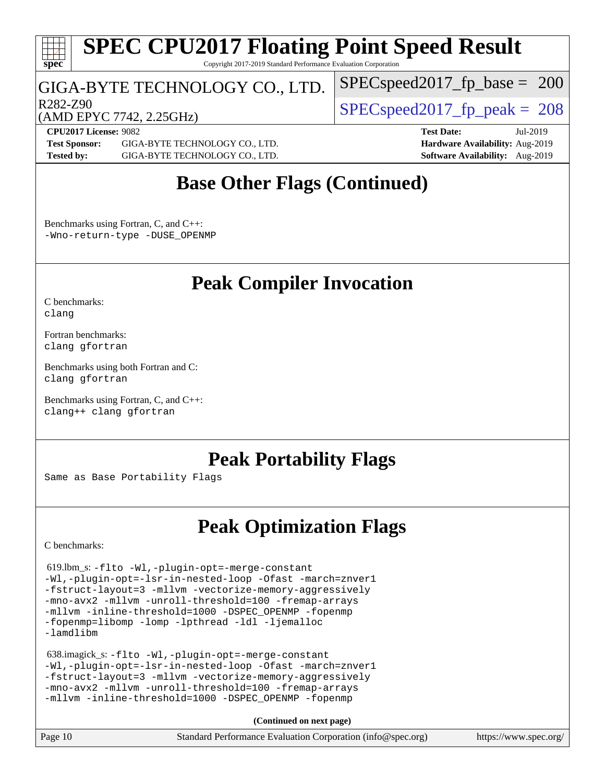

Copyright 2017-2019 Standard Performance Evaluation Corporation

### GIGA-BYTE TECHNOLOGY CO., LTD.

R282-Z90  $SPEC speed2017$  fp  $peak = 208$ 

[SPECspeed2017\\_fp\\_base =](http://www.spec.org/auto/cpu2017/Docs/result-fields.html#SPECspeed2017fpbase) 200

(AMD EPYC 7742, 2.25GHz)

**[CPU2017 License:](http://www.spec.org/auto/cpu2017/Docs/result-fields.html#CPU2017License)** 9082 **[Test Date:](http://www.spec.org/auto/cpu2017/Docs/result-fields.html#TestDate)** Jul-2019 **[Test Sponsor:](http://www.spec.org/auto/cpu2017/Docs/result-fields.html#TestSponsor)** GIGA-BYTE TECHNOLOGY CO., LTD. **[Hardware Availability:](http://www.spec.org/auto/cpu2017/Docs/result-fields.html#HardwareAvailability)** Aug-2019 **[Tested by:](http://www.spec.org/auto/cpu2017/Docs/result-fields.html#Testedby)** GIGA-BYTE TECHNOLOGY CO., LTD. **[Software Availability:](http://www.spec.org/auto/cpu2017/Docs/result-fields.html#SoftwareAvailability)** Aug-2019

## **[Base Other Flags \(Continued\)](http://www.spec.org/auto/cpu2017/Docs/result-fields.html#BaseOtherFlags)**

[Benchmarks using Fortran, C, and C++:](http://www.spec.org/auto/cpu2017/Docs/result-fields.html#BenchmarksusingFortranCandCXX) [-Wno-return-type](http://www.spec.org/cpu2017/results/res2019q3/cpu2017-20190722-16240.flags.html#user_CC_CXX_FCbase_F-Wno-return-type) -DUSE OPENMP

## **[Peak Compiler Invocation](http://www.spec.org/auto/cpu2017/Docs/result-fields.html#PeakCompilerInvocation)**

[C benchmarks](http://www.spec.org/auto/cpu2017/Docs/result-fields.html#Cbenchmarks): [clang](http://www.spec.org/cpu2017/results/res2019q3/cpu2017-20190722-16240.flags.html#user_CCpeak_clang-c)

[Fortran benchmarks](http://www.spec.org/auto/cpu2017/Docs/result-fields.html#Fortranbenchmarks): [clang](http://www.spec.org/cpu2017/results/res2019q3/cpu2017-20190722-16240.flags.html#user_FCpeak_clang-c) [gfortran](http://www.spec.org/cpu2017/results/res2019q3/cpu2017-20190722-16240.flags.html#user_FCpeak_aocc-gfortran_128c91a56d61ddb07404721e65b8f9498c31a443dacbd3b7f212891090eca86e2d099b520f75b99e9e8ac4fdec01f4d15f0b65e47123ec4c42b0759045731a1f)

[Benchmarks using both Fortran and C](http://www.spec.org/auto/cpu2017/Docs/result-fields.html#BenchmarksusingbothFortranandC): [clang](http://www.spec.org/cpu2017/results/res2019q3/cpu2017-20190722-16240.flags.html#user_CC_FCpeak_clang-c) [gfortran](http://www.spec.org/cpu2017/results/res2019q3/cpu2017-20190722-16240.flags.html#user_CC_FCpeak_aocc-gfortran_128c91a56d61ddb07404721e65b8f9498c31a443dacbd3b7f212891090eca86e2d099b520f75b99e9e8ac4fdec01f4d15f0b65e47123ec4c42b0759045731a1f)

[Benchmarks using Fortran, C, and C++:](http://www.spec.org/auto/cpu2017/Docs/result-fields.html#BenchmarksusingFortranCandCXX) [clang++](http://www.spec.org/cpu2017/results/res2019q3/cpu2017-20190722-16240.flags.html#user_CC_CXX_FCpeak_clang-cpp) [clang](http://www.spec.org/cpu2017/results/res2019q3/cpu2017-20190722-16240.flags.html#user_CC_CXX_FCpeak_clang-c) [gfortran](http://www.spec.org/cpu2017/results/res2019q3/cpu2017-20190722-16240.flags.html#user_CC_CXX_FCpeak_aocc-gfortran_128c91a56d61ddb07404721e65b8f9498c31a443dacbd3b7f212891090eca86e2d099b520f75b99e9e8ac4fdec01f4d15f0b65e47123ec4c42b0759045731a1f)

## **[Peak Portability Flags](http://www.spec.org/auto/cpu2017/Docs/result-fields.html#PeakPortabilityFlags)**

Same as Base Portability Flags

## **[Peak Optimization Flags](http://www.spec.org/auto/cpu2017/Docs/result-fields.html#PeakOptimizationFlags)**

[C benchmarks](http://www.spec.org/auto/cpu2017/Docs/result-fields.html#Cbenchmarks):

 619.lbm\_s: [-flto](http://www.spec.org/cpu2017/results/res2019q3/cpu2017-20190722-16240.flags.html#user_peakCOPTIMIZEEXTRA_LDFLAGS619_lbm_s_aocc-flto) [-Wl,-plugin-opt=-merge-constant](http://www.spec.org/cpu2017/results/res2019q3/cpu2017-20190722-16240.flags.html#user_peakEXTRA_LDFLAGS619_lbm_s_F-merge-constant_1d79771b5442061d9c8e05556c6b0c655e6c9e66f8c6936b0129d434b6acd2b1cf1b7cd2540d1570ff636111b08a6bc36e2e61fc34531f8ef7c1a34c57be1dbb) [-Wl,-plugin-opt=-lsr-in-nested-loop](http://www.spec.org/cpu2017/results/res2019q3/cpu2017-20190722-16240.flags.html#user_peakEXTRA_LDFLAGS619_lbm_s_lsr-in-nested-loop_1cff93fd95162f5e77640b5271e8bed680fb62b4a8d96fb8ab217ff3244646f1fbb342e31af83c263403bbf5249c7dc7732d5c86c3eab4cc8d32dcb7a6f33ca0) [-Ofast](http://www.spec.org/cpu2017/results/res2019q3/cpu2017-20190722-16240.flags.html#user_peakCOPTIMIZE619_lbm_s_aocc-Ofast) [-march=znver1](http://www.spec.org/cpu2017/results/res2019q3/cpu2017-20190722-16240.flags.html#user_peakCOPTIMIZE619_lbm_s_aocc-march) [-fstruct-layout=3](http://www.spec.org/cpu2017/results/res2019q3/cpu2017-20190722-16240.flags.html#user_peakCOPTIMIZE619_lbm_s_struct-layout) [-mllvm -vectorize-memory-aggressively](http://www.spec.org/cpu2017/results/res2019q3/cpu2017-20190722-16240.flags.html#user_peakCOPTIMIZE619_lbm_s_vectorize-memory-aggressively_24b72a4417f50ade9e698c5b3bed87ab456cc6fc8ec6439480cb84f36ad6a3975af6e87206dea402e3871a1464ff3d60bc798e0250f330177ba629a260df1857) [-mno-avx2](http://www.spec.org/cpu2017/results/res2019q3/cpu2017-20190722-16240.flags.html#user_peakCOPTIMIZE619_lbm_s_F-mno-avx2) [-mllvm -unroll-threshold=100](http://www.spec.org/cpu2017/results/res2019q3/cpu2017-20190722-16240.flags.html#user_peakCOPTIMIZE619_lbm_s_unroll-threshold_2755d0c78138845d361fa1543e3a063fffa198df9b3edf0cfb856bbc88a81e1769b12ac7a550c5d35197be55360db1a3f95a8d1304df999456cabf5120c45168) [-fremap-arrays](http://www.spec.org/cpu2017/results/res2019q3/cpu2017-20190722-16240.flags.html#user_peakCOPTIMIZE619_lbm_s_F-fremap-arrays) [-mllvm -inline-threshold=1000](http://www.spec.org/cpu2017/results/res2019q3/cpu2017-20190722-16240.flags.html#user_peakCOPTIMIZE619_lbm_s_dragonegg-llvm-inline-threshold_b7832241b0a6397e4ecdbaf0eb7defdc10f885c2a282fa3240fdc99844d543fda39cf8a4a9dccf68cf19b5438ac3b455264f478df15da0f4988afa40d8243bab) [-DSPEC\\_OPENMP](http://www.spec.org/cpu2017/results/res2019q3/cpu2017-20190722-16240.flags.html#suite_peakEXTRA_OPTIMIZE619_lbm_s_DSPEC_OPENMP) [-fopenmp](http://www.spec.org/cpu2017/results/res2019q3/cpu2017-20190722-16240.flags.html#user_peakEXTRA_OPTIMIZE619_lbm_s_F-fopenmp) [-fopenmp=libomp](http://www.spec.org/cpu2017/results/res2019q3/cpu2017-20190722-16240.flags.html#user_peakEXTRA_LIBS619_lbm_s_F-fopenmp_3eb6ab80166bcc84161ff8c20c8d5bc344f88119f45620444596454f7d72e99b7a0ceefc2d1b4d190bd07306bbfdfc20f11f5a2dc69c9b03c72239f8406741c3) [-lomp](http://www.spec.org/cpu2017/results/res2019q3/cpu2017-20190722-16240.flags.html#user_peakEXTRA_LIBS619_lbm_s_F-lomp) [-lpthread](http://www.spec.org/cpu2017/results/res2019q3/cpu2017-20190722-16240.flags.html#user_peakEXTRA_LIBS619_lbm_s_F-lpthread) [-ldl](http://www.spec.org/cpu2017/results/res2019q3/cpu2017-20190722-16240.flags.html#user_peakEXTRA_LIBS619_lbm_s_F-ldl) [-ljemalloc](http://www.spec.org/cpu2017/results/res2019q3/cpu2017-20190722-16240.flags.html#user_peakEXTRA_LIBS619_lbm_s_jemalloc-lib) [-lamdlibm](http://www.spec.org/cpu2017/results/res2019q3/cpu2017-20190722-16240.flags.html#user_peakEXTRA_LIBS619_lbm_s_F-lamdlibm)

 638.imagick\_s: [-flto](http://www.spec.org/cpu2017/results/res2019q3/cpu2017-20190722-16240.flags.html#user_peakCOPTIMIZEEXTRA_LDFLAGS638_imagick_s_aocc-flto) [-Wl,-plugin-opt=-merge-constant](http://www.spec.org/cpu2017/results/res2019q3/cpu2017-20190722-16240.flags.html#user_peakEXTRA_LDFLAGS638_imagick_s_F-merge-constant_1d79771b5442061d9c8e05556c6b0c655e6c9e66f8c6936b0129d434b6acd2b1cf1b7cd2540d1570ff636111b08a6bc36e2e61fc34531f8ef7c1a34c57be1dbb) [-Wl,-plugin-opt=-lsr-in-nested-loop](http://www.spec.org/cpu2017/results/res2019q3/cpu2017-20190722-16240.flags.html#user_peakEXTRA_LDFLAGS638_imagick_s_lsr-in-nested-loop_1cff93fd95162f5e77640b5271e8bed680fb62b4a8d96fb8ab217ff3244646f1fbb342e31af83c263403bbf5249c7dc7732d5c86c3eab4cc8d32dcb7a6f33ca0) [-Ofast](http://www.spec.org/cpu2017/results/res2019q3/cpu2017-20190722-16240.flags.html#user_peakCOPTIMIZE638_imagick_s_aocc-Ofast) [-march=znver1](http://www.spec.org/cpu2017/results/res2019q3/cpu2017-20190722-16240.flags.html#user_peakCOPTIMIZE638_imagick_s_aocc-march) [-fstruct-layout=3](http://www.spec.org/cpu2017/results/res2019q3/cpu2017-20190722-16240.flags.html#user_peakCOPTIMIZE638_imagick_s_struct-layout) [-mllvm -vectorize-memory-aggressively](http://www.spec.org/cpu2017/results/res2019q3/cpu2017-20190722-16240.flags.html#user_peakCOPTIMIZE638_imagick_s_vectorize-memory-aggressively_24b72a4417f50ade9e698c5b3bed87ab456cc6fc8ec6439480cb84f36ad6a3975af6e87206dea402e3871a1464ff3d60bc798e0250f330177ba629a260df1857) [-mno-avx2](http://www.spec.org/cpu2017/results/res2019q3/cpu2017-20190722-16240.flags.html#user_peakCOPTIMIZE638_imagick_s_F-mno-avx2) [-mllvm -unroll-threshold=100](http://www.spec.org/cpu2017/results/res2019q3/cpu2017-20190722-16240.flags.html#user_peakCOPTIMIZE638_imagick_s_unroll-threshold_2755d0c78138845d361fa1543e3a063fffa198df9b3edf0cfb856bbc88a81e1769b12ac7a550c5d35197be55360db1a3f95a8d1304df999456cabf5120c45168) [-fremap-arrays](http://www.spec.org/cpu2017/results/res2019q3/cpu2017-20190722-16240.flags.html#user_peakCOPTIMIZE638_imagick_s_F-fremap-arrays) [-mllvm -inline-threshold=1000](http://www.spec.org/cpu2017/results/res2019q3/cpu2017-20190722-16240.flags.html#user_peakCOPTIMIZE638_imagick_s_dragonegg-llvm-inline-threshold_b7832241b0a6397e4ecdbaf0eb7defdc10f885c2a282fa3240fdc99844d543fda39cf8a4a9dccf68cf19b5438ac3b455264f478df15da0f4988afa40d8243bab) [-DSPEC\\_OPENMP](http://www.spec.org/cpu2017/results/res2019q3/cpu2017-20190722-16240.flags.html#suite_peakEXTRA_OPTIMIZE638_imagick_s_DSPEC_OPENMP) [-fopenmp](http://www.spec.org/cpu2017/results/res2019q3/cpu2017-20190722-16240.flags.html#user_peakEXTRA_OPTIMIZE638_imagick_s_F-fopenmp)

**(Continued on next page)**

| Page 10 | Standard Performance Evaluation Corporation (info@spec.org) |  | https://www.spec.org/ |
|---------|-------------------------------------------------------------|--|-----------------------|
|---------|-------------------------------------------------------------|--|-----------------------|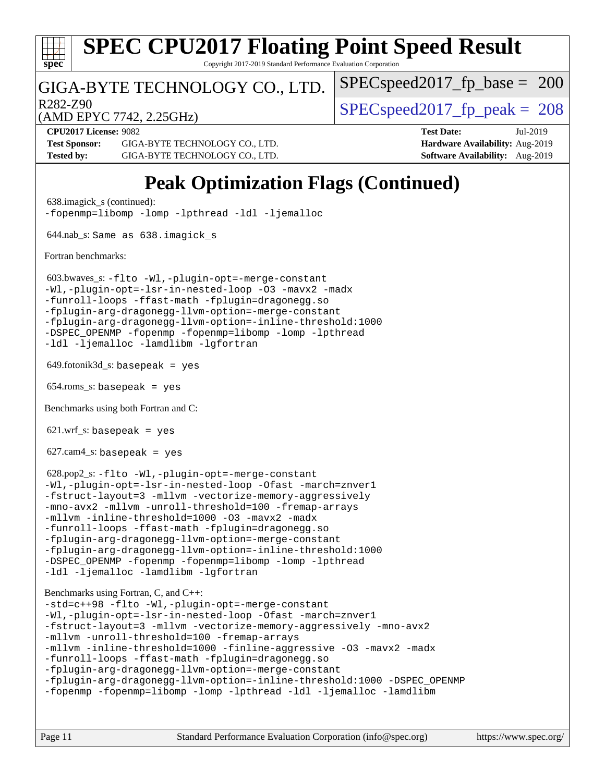

Copyright 2017-2019 Standard Performance Evaluation Corporation

### GIGA-BYTE TECHNOLOGY CO., LTD.

R282-Z90  $SPEC speed2017$  fp  $peak = 208$ 

SPECspeed2017 fp base =  $200$ 

(AMD EPYC 7742, 2.25GHz)

**[CPU2017 License:](http://www.spec.org/auto/cpu2017/Docs/result-fields.html#CPU2017License)** 9082 **[Test Date:](http://www.spec.org/auto/cpu2017/Docs/result-fields.html#TestDate)** Jul-2019 **[Test Sponsor:](http://www.spec.org/auto/cpu2017/Docs/result-fields.html#TestSponsor)** GIGA-BYTE TECHNOLOGY CO., LTD. **[Hardware Availability:](http://www.spec.org/auto/cpu2017/Docs/result-fields.html#HardwareAvailability)** Aug-2019 **[Tested by:](http://www.spec.org/auto/cpu2017/Docs/result-fields.html#Testedby)** GIGA-BYTE TECHNOLOGY CO., LTD. **[Software Availability:](http://www.spec.org/auto/cpu2017/Docs/result-fields.html#SoftwareAvailability)** Aug-2019

## **[Peak Optimization Flags \(Continued\)](http://www.spec.org/auto/cpu2017/Docs/result-fields.html#PeakOptimizationFlags)**

```
 638.imagick_s (continued):
-fopenmp=libomp -lomp -lpthread -ldl -ljemalloc
 644.nab_s: Same as 638.imagick_s
Fortran benchmarks: 
 603.bwaves_s: -flto -Wl,-plugin-opt=-merge-constant
-Wl,-plugin-opt=-lsr-in-nested-loop -O3 -mavx2 -madx
-funroll-loops -ffast-math -fplugin=dragonegg.so
-fplugin-arg-dragonegg-llvm-option=-merge-constant
-fplugin-arg-dragonegg-llvm-option=-inline-threshold:1000
-DSPEC_OPENMP -fopenmp -fopenmp=libomp -lomp -lpthread
-ldl -ljemalloc -lamdlibm -lgfortran
649.fotonik3d<sub>-</sub>s: basepeak = yes
654.roms_s: basepeak = yes
Benchmarks using both Fortran and C: 
621.wrf_s: basepeak = yes
627.cam4<sub>-</sub>s: basepeak = yes
 628.pop2_s: -flto -Wl,-plugin-opt=-merge-constant
-Wl,-plugin-opt=-lsr-in-nested-loop -Ofast -march=znver1
-fstruct-layout=3 -mllvm -vectorize-memory-aggressively
-mno-avx2 -mllvm -unroll-threshold=100 -fremap-arrays
-mllvm -inline-threshold=1000 -O3 -mavx2 -madx
-funroll-loops -ffast-math -fplugin=dragonegg.so
-fplugin-arg-dragonegg-llvm-option=-merge-constant
-fplugin-arg-dragonegg-llvm-option=-inline-threshold:1000
-DSPEC_OPENMP -fopenmp -fopenmp=libomp -lomp -lpthread
-ldl -ljemalloc -lamdlibm -lgfortran
Benchmarks using Fortran, C, and C++: 
-std=c++98 -flto -Wl,-plugin-opt=-merge-constant
-Wl,-plugin-opt=-lsr-in-nested-loop -Ofast -march=znver1
-fstruct-layout=3 -mllvm -vectorize-memory-aggressively -mno-avx2
-mllvm -unroll-threshold=100 -fremap-arrays
-mllvm -inline-threshold=1000 -finline-aggressive -O3 -mavx2 -madx
-funroll-loops -ffast-math -fplugin=dragonegg.so
-fplugin-arg-dragonegg-llvm-option=-merge-constant
-fplugin-arg-dragonegg-llvm-option=-inline-threshold:1000 -DSPEC_OPENMP
-fopenmp -fopenmp=libomp -lomp -lpthread -ldl -ljemalloc -lamdlibm
```